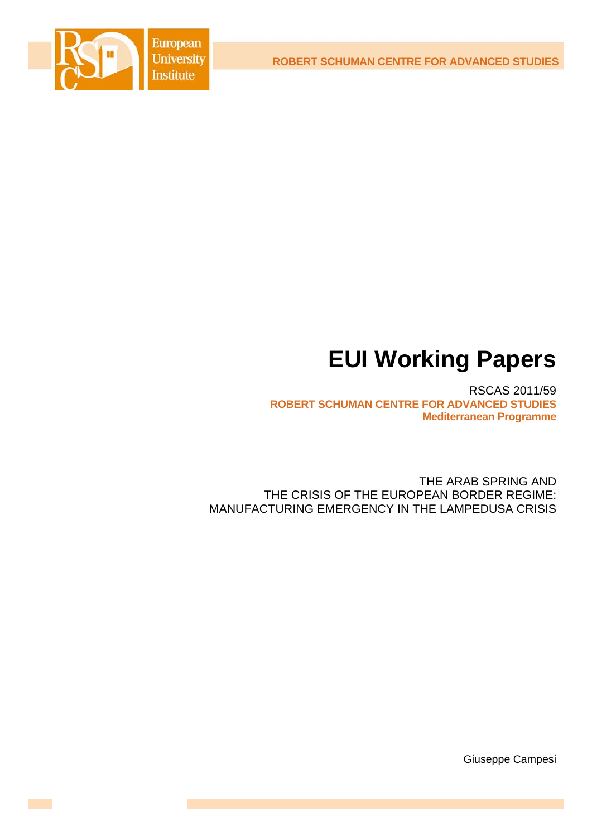**ROBERT SCHUMAN CENTRE FOR ADVANCED STUDIES**



# **EUI Working Papers**

RSCAS 2011/59 **ROBERT SCHUMAN CENTRE FOR ADVANCED STUDIES Mediterranean Programme** 

THE ARAB SPRING AND THE CRISIS OF THE EUROPEAN BORDER REGIME: MANUFACTURING EMERGENCY IN THE LAMPEDUSA CRISIS

Giuseppe Campesi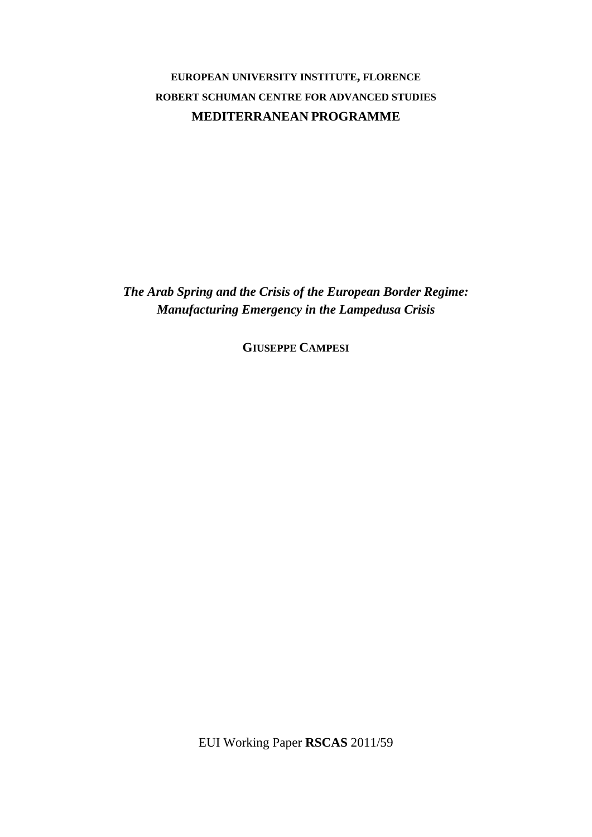# **EUROPEAN UNIVERSITY INSTITUTE, FLORENCE ROBERT SCHUMAN CENTRE FOR ADVANCED STUDIES MEDITERRANEAN PROGRAMME**

*The Arab Spring and the Crisis of the European Border Regime: Manufacturing Emergency in the Lampedusa Crisis* 

**GIUSEPPE CAMPESI**

EUI Working Paper **RSCAS** 2011/59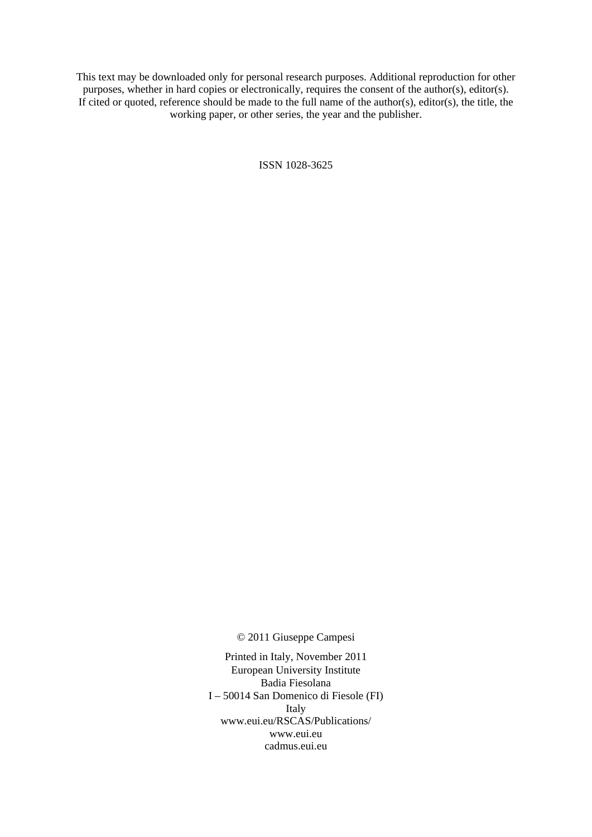This text may be downloaded only for personal research purposes. Additional reproduction for other purposes, whether in hard copies or electronically, requires the consent of the author(s), editor(s). If cited or quoted, reference should be made to the full name of the author(s), editor(s), the title, the working paper, or other series, the year and the publisher.

ISSN 1028-3625

© 2011 Giuseppe Campesi

Printed in Italy, November 2011 European University Institute Badia Fiesolana I – 50014 San Domenico di Fiesole (FI) Italy [www.eui.eu/RSCAS/Publications/](http://www.eui.eu/RSCAS/Publications/)  [www.eui.eu](http://www.eui.eu)  cadmus.eui.eu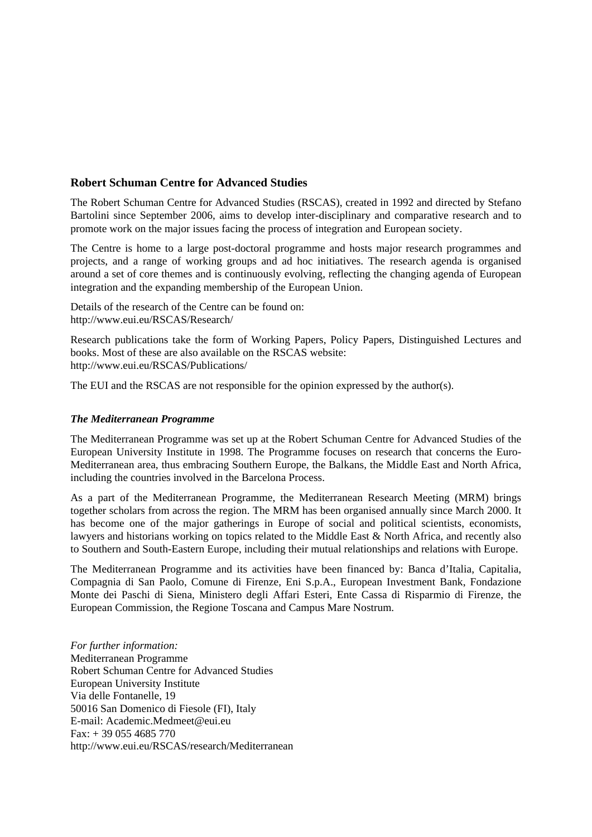# **Robert Schuman Centre for Advanced Studies**

The Robert Schuman Centre for Advanced Studies (RSCAS), created in 1992 and directed by Stefano Bartolini since September 2006, aims to develop inter-disciplinary and comparative research and to promote work on the major issues facing the process of integration and European society.

The Centre is home to a large post-doctoral programme and hosts major research programmes and projects, and a range of working groups and ad hoc initiatives. The research agenda is organised around a set of core themes and is continuously evolving, reflecting the changing agenda of European integration and the expanding membership of the European Union.

Details of the research of the Centre can be found on: <http://www.eui.eu/RSCAS/Research/>

Research publications take the form of Working Papers, Policy Papers, Distinguished Lectures and books. Most of these are also available on the RSCAS website: <http://www.eui.eu/RSCAS/Publications/>

The EUI and the RSCAS are not responsible for the opinion expressed by the author(s).

#### *The Mediterranean Programme*

The Mediterranean Programme was set up at the Robert Schuman Centre for Advanced Studies of the European University Institute in 1998. The Programme focuses on research that concerns the Euro-Mediterranean area, thus embracing Southern Europe, the Balkans, the Middle East and North Africa, including the countries involved in the Barcelona Process.

As a part of the Mediterranean Programme, the Mediterranean Research Meeting (MRM) brings together scholars from across the region. The MRM has been organised annually since March 2000. It has become one of the major gatherings in Europe of social and political scientists, economists, lawyers and historians working on topics related to the Middle East & North Africa, and recently also to Southern and South-Eastern Europe, including their mutual relationships and relations with Europe.

The Mediterranean Programme and its activities have been financed by: Banca d'Italia, Capitalia, Compagnia di San Paolo, Comune di Firenze, Eni S.p.A., European Investment Bank, Fondazione Monte dei Paschi di Siena, Ministero degli Affari Esteri, Ente Cassa di Risparmio di Firenze, the European Commission, the Regione Toscana and Campus Mare Nostrum.

*For further information:* Mediterranean Programme Robert Schuman Centre for Advanced Studies European University Institute Via delle Fontanelle, 19 50016 San Domenico di Fiesole (FI), Italy E-mail: [Academic.Medmeet@eui.eu](mailto:Academic.Medmeet@eui.eu)   $Fax: + 390554685770$ <http://www.eui.eu/RSCAS/research/Mediterranean>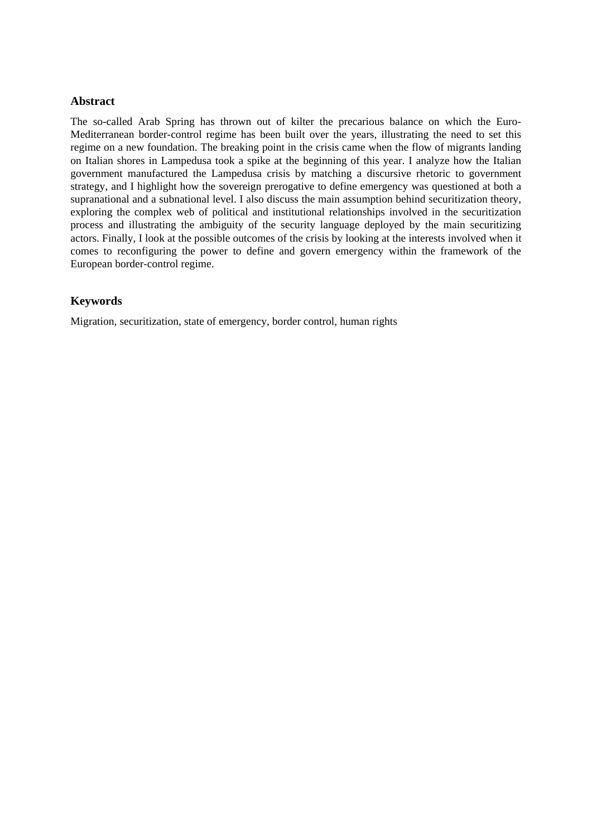## **Abstract**

The so-called Arab Spring has thrown out of kilter the precarious balance on which the Euro-Mediterranean border-control regime has been built over the years, illustrating the need to set this regime on a new foundation. The breaking point in the crisis came when the flow of migrants landing on Italian shores in Lampedusa took a spike at the beginning of this year. I analyze how the Italian government manufactured the Lampedusa crisis by matching a discursive rhetoric to government strategy, and I highlight how the sovereign prerogative to define emergency was questioned at both a supranational and a subnational level. I also discuss the main assumption behind securitization theory, exploring the complex web of political and institutional relationships involved in the securitization process and illustrating the ambiguity of the security language deployed by the main securitizing actors. Finally, I look at the possible outcomes of the crisis by looking at the interests involved when it comes to reconfiguring the power to define and govern emergency within the framework of the European border-control regime.

# **Keywords**

Migration, securitization, state of emergency, border control, human rights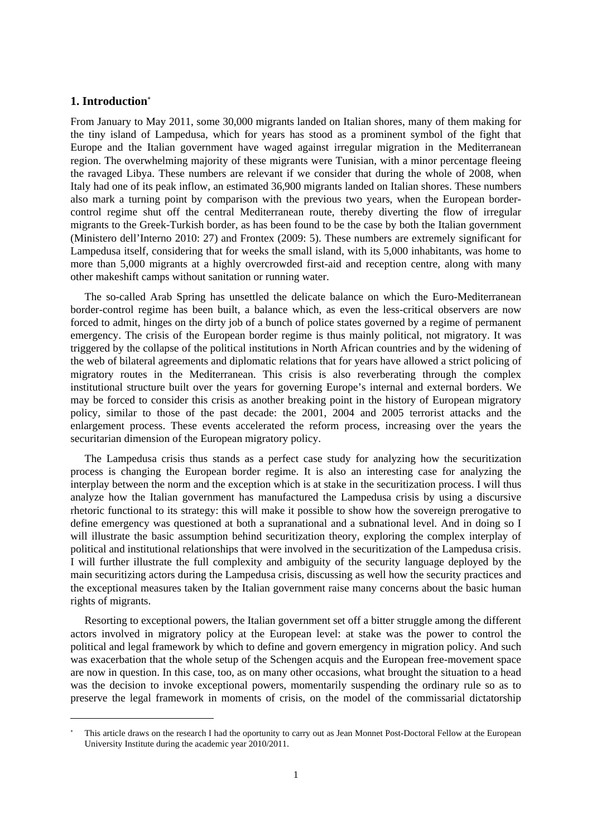#### **1. Introduction**

-

From January to May 2011, some 30,000 migrants landed on Italian shores, many of them making for the tiny island of Lampedusa, which for years has stood as a prominent symbol of the fight that Europe and the Italian government have waged against irregular migration in the Mediterranean region. The overwhelming majority of these migrants were Tunisian, with a minor percentage fleeing the ravaged Libya. These numbers are relevant if we consider that during the whole of 2008, when Italy had one of its peak inflow, an estimated 36,900 migrants landed on Italian shores. These numbers also mark a turning point by comparison with the previous two years, when the European bordercontrol regime shut off the central Mediterranean route, thereby diverting the flow of irregular migrants to the Greek-Turkish border, as has been found to be the case by both the Italian government (Ministero dell'Interno 2010: 27) and Frontex (2009: 5). These numbers are extremely significant for Lampedusa itself, considering that for weeks the small island, with its 5,000 inhabitants, was home to more than 5,000 migrants at a highly overcrowded first-aid and reception centre, along with many other makeshift camps without sanitation or running water.

The so-called Arab Spring has unsettled the delicate balance on which the Euro-Mediterranean border-control regime has been built, a balance which, as even the less-critical observers are now forced to admit, hinges on the dirty job of a bunch of police states governed by a regime of permanent emergency. The crisis of the European border regime is thus mainly political, not migratory. It was triggered by the collapse of the political institutions in North African countries and by the widening of the web of bilateral agreements and diplomatic relations that for years have allowed a strict policing of migratory routes in the Mediterranean. This crisis is also reverberating through the complex institutional structure built over the years for governing Europe's internal and external borders. We may be forced to consider this crisis as another breaking point in the history of European migratory policy, similar to those of the past decade: the 2001, 2004 and 2005 terrorist attacks and the enlargement process. These events accelerated the reform process, increasing over the years the securitarian dimension of the European migratory policy.

The Lampedusa crisis thus stands as a perfect case study for analyzing how the securitization process is changing the European border regime. It is also an interesting case for analyzing the interplay between the norm and the exception which is at stake in the securitization process. I will thus analyze how the Italian government has manufactured the Lampedusa crisis by using a discursive rhetoric functional to its strategy: this will make it possible to show how the sovereign prerogative to define emergency was questioned at both a supranational and a subnational level. And in doing so I will illustrate the basic assumption behind securitization theory, exploring the complex interplay of political and institutional relationships that were involved in the securitization of the Lampedusa crisis. I will further illustrate the full complexity and ambiguity of the security language deployed by the main securitizing actors during the Lampedusa crisis, discussing as well how the security practices and the exceptional measures taken by the Italian government raise many concerns about the basic human rights of migrants.

Resorting to exceptional powers, the Italian government set off a bitter struggle among the different actors involved in migratory policy at the European level: at stake was the power to control the political and legal framework by which to define and govern emergency in migration policy. And such was exacerbation that the whole setup of the Schengen acquis and the European free-movement space are now in question. In this case, too, as on many other occasions, what brought the situation to a head was the decision to invoke exceptional powers, momentarily suspending the ordinary rule so as to preserve the legal framework in moments of crisis, on the model of the commissarial dictatorship

<sup>\*</sup>  This article draws on the research I had the oportunity to carry out as Jean Monnet Post-Doctoral Fellow at the European University Institute during the academic year 2010/2011.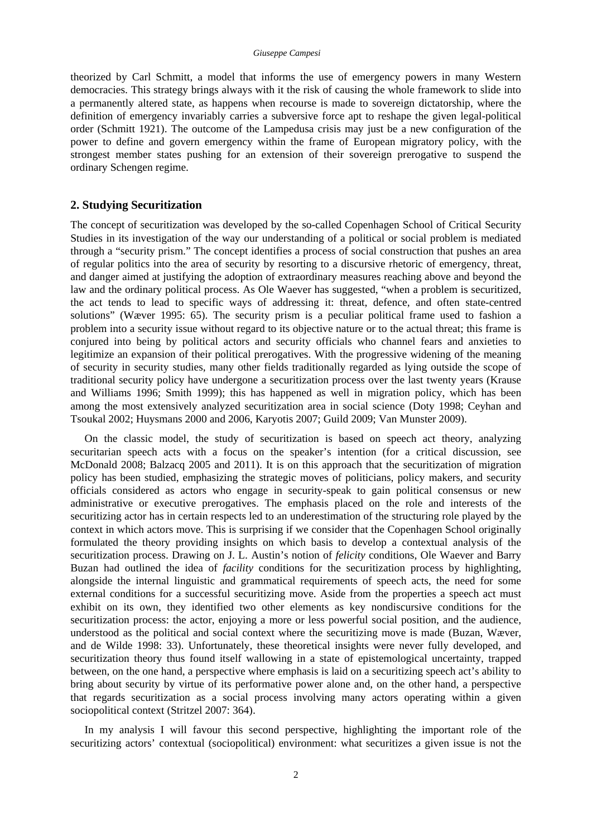theorized by Carl Schmitt, a model that informs the use of emergency powers in many Western democracies. This strategy brings always with it the risk of causing the whole framework to slide into a permanently altered state, as happens when recourse is made to sovereign dictatorship, where the definition of emergency invariably carries a subversive force apt to reshape the given legal-political order (Schmitt 1921). The outcome of the Lampedusa crisis may just be a new configuration of the power to define and govern emergency within the frame of European migratory policy, with the strongest member states pushing for an extension of their sovereign prerogative to suspend the ordinary Schengen regime.

#### **2. Studying Securitization**

The concept of securitization was developed by the so-called Copenhagen School of Critical Security Studies in its investigation of the way our understanding of a political or social problem is mediated through a "security prism." The concept identifies a process of social construction that pushes an area of regular politics into the area of security by resorting to a discursive rhetoric of emergency, threat, and danger aimed at justifying the adoption of extraordinary measures reaching above and beyond the law and the ordinary political process. As Ole Waever has suggested, "when a problem is securitized, the act tends to lead to specific ways of addressing it: threat, defence, and often state-centred solutions" (Wæver 1995: 65). The security prism is a peculiar political frame used to fashion a problem into a security issue without regard to its objective nature or to the actual threat; this frame is conjured into being by political actors and security officials who channel fears and anxieties to legitimize an expansion of their political prerogatives. With the progressive widening of the meaning of security in security studies, many other fields traditionally regarded as lying outside the scope of traditional security policy have undergone a securitization process over the last twenty years (Krause and Williams 1996; Smith 1999); this has happened as well in migration policy, which has been among the most extensively analyzed securitization area in social science (Doty 1998; Ceyhan and Tsoukal 2002; Huysmans 2000 and 2006, Karyotis 2007; Guild 2009; Van Munster 2009).

On the classic model, the study of securitization is based on speech act theory, analyzing securitarian speech acts with a focus on the speaker's intention (for a critical discussion, see McDonald 2008; Balzacq 2005 and 2011). It is on this approach that the securitization of migration policy has been studied, emphasizing the strategic moves of politicians, policy makers, and security officials considered as actors who engage in security-speak to gain political consensus or new administrative or executive prerogatives. The emphasis placed on the role and interests of the securitizing actor has in certain respects led to an underestimation of the structuring role played by the context in which actors move. This is surprising if we consider that the Copenhagen School originally formulated the theory providing insights on which basis to develop a contextual analysis of the securitization process. Drawing on J. L. Austin's notion of *felicity* conditions, Ole Waever and Barry Buzan had outlined the idea of *facility* conditions for the securitization process by highlighting, alongside the internal linguistic and grammatical requirements of speech acts, the need for some external conditions for a successful securitizing move. Aside from the properties a speech act must exhibit on its own, they identified two other elements as key nondiscursive conditions for the securitization process: the actor, enjoying a more or less powerful social position, and the audience, understood as the political and social context where the securitizing move is made (Buzan, Wæver, and de Wilde 1998: 33). Unfortunately, these theoretical insights were never fully developed, and securitization theory thus found itself wallowing in a state of epistemological uncertainty, trapped between, on the one hand, a perspective where emphasis is laid on a securitizing speech act's ability to bring about security by virtue of its performative power alone and, on the other hand, a perspective that regards securitization as a social process involving many actors operating within a given sociopolitical context (Stritzel 2007: 364).

In my analysis I will favour this second perspective, highlighting the important role of the securitizing actors' contextual (sociopolitical) environment: what securitizes a given issue is not the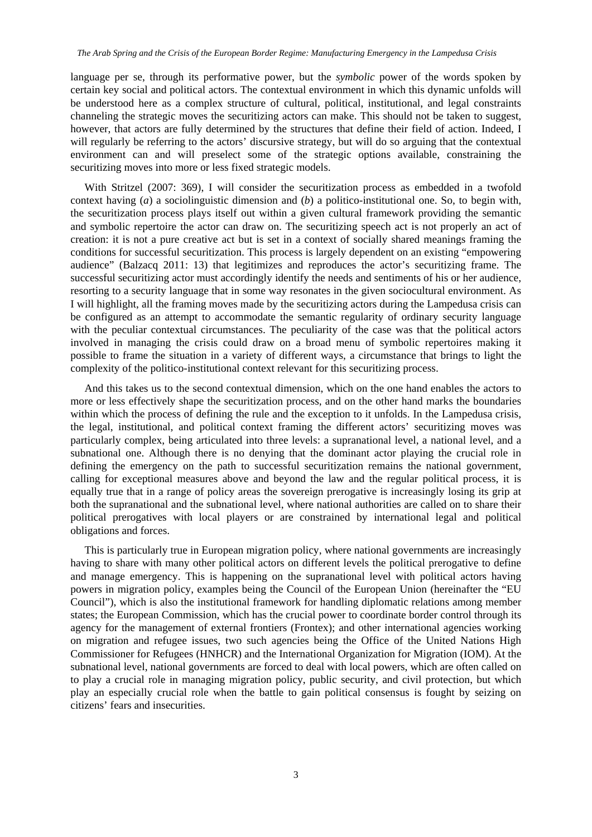language per se, through its performative power, but the *symbolic* power of the words spoken by certain key social and political actors. The contextual environment in which this dynamic unfolds will be understood here as a complex structure of cultural, political, institutional, and legal constraints channeling the strategic moves the securitizing actors can make. This should not be taken to suggest, however, that actors are fully determined by the structures that define their field of action. Indeed, I will regularly be referring to the actors' discursive strategy, but will do so arguing that the contextual environment can and will preselect some of the strategic options available, constraining the securitizing moves into more or less fixed strategic models.

With Stritzel (2007: 369), I will consider the securitization process as embedded in a twofold context having (*a*) a sociolinguistic dimension and (*b*) a politico-institutional one. So, to begin with, the securitization process plays itself out within a given cultural framework providing the semantic and symbolic repertoire the actor can draw on. The securitizing speech act is not properly an act of creation: it is not a pure creative act but is set in a context of socially shared meanings framing the conditions for successful securitization. This process is largely dependent on an existing "empowering audience" (Balzacq 2011: 13) that legitimizes and reproduces the actor's securitizing frame. The successful securitizing actor must accordingly identify the needs and sentiments of his or her audience, resorting to a security language that in some way resonates in the given sociocultural environment. As I will highlight, all the framing moves made by the securitizing actors during the Lampedusa crisis can be configured as an attempt to accommodate the semantic regularity of ordinary security language with the peculiar contextual circumstances. The peculiarity of the case was that the political actors involved in managing the crisis could draw on a broad menu of symbolic repertoires making it possible to frame the situation in a variety of different ways, a circumstance that brings to light the complexity of the politico-institutional context relevant for this securitizing process.

And this takes us to the second contextual dimension, which on the one hand enables the actors to more or less effectively shape the securitization process, and on the other hand marks the boundaries within which the process of defining the rule and the exception to it unfolds. In the Lampedusa crisis, the legal, institutional, and political context framing the different actors' securitizing moves was particularly complex, being articulated into three levels: a supranational level, a national level, and a subnational one. Although there is no denying that the dominant actor playing the crucial role in defining the emergency on the path to successful securitization remains the national government, calling for exceptional measures above and beyond the law and the regular political process, it is equally true that in a range of policy areas the sovereign prerogative is increasingly losing its grip at both the supranational and the subnational level, where national authorities are called on to share their political prerogatives with local players or are constrained by international legal and political obligations and forces.

This is particularly true in European migration policy, where national governments are increasingly having to share with many other political actors on different levels the political prerogative to define and manage emergency. This is happening on the supranational level with political actors having powers in migration policy, examples being the Council of the European Union (hereinafter the "EU Council"), which is also the institutional framework for handling diplomatic relations among member states; the European Commission, which has the crucial power to coordinate border control through its agency for the management of external frontiers (Frontex); and other international agencies working on migration and refugee issues, two such agencies being the Office of the United Nations High Commissioner for Refugees (HNHCR) and the International Organization for Migration (IOM). At the subnational level, national governments are forced to deal with local powers, which are often called on to play a crucial role in managing migration policy, public security, and civil protection, but which play an especially crucial role when the battle to gain political consensus is fought by seizing on citizens' fears and insecurities.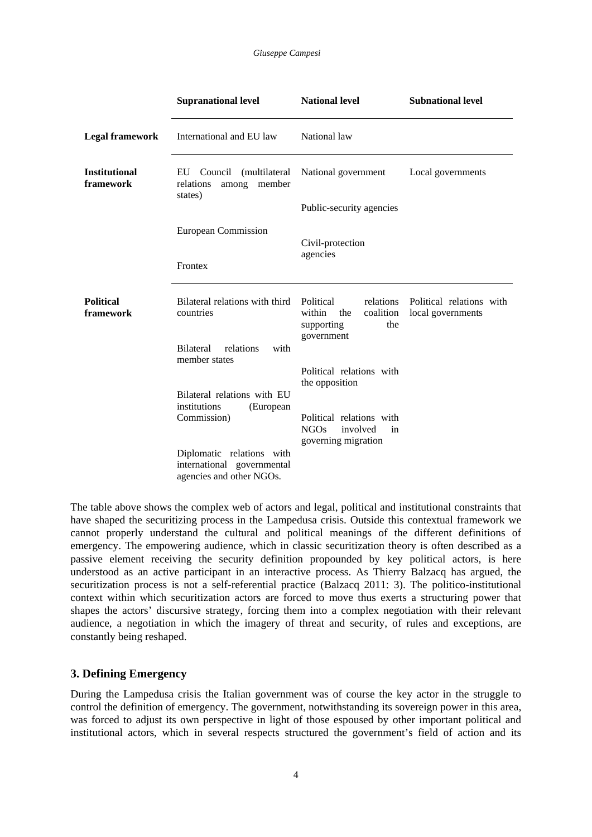|                                   | <b>Supranational level</b>                                                          | <b>National level</b>                                                                   | <b>Subnational level</b>                      |
|-----------------------------------|-------------------------------------------------------------------------------------|-----------------------------------------------------------------------------------------|-----------------------------------------------|
| <b>Legal framework</b>            | International and EU law                                                            | National law                                                                            |                                               |
| <b>Institutional</b><br>framework | (multilateral)<br>EU<br>Council<br>relations<br>member<br>among                     | National government                                                                     | Local governments                             |
|                                   | states)                                                                             | Public-security agencies                                                                |                                               |
|                                   | European Commission                                                                 | Civil-protection                                                                        |                                               |
|                                   | Frontex                                                                             | agencies                                                                                |                                               |
| <b>Political</b><br>framework     | Bilateral relations with third<br>countries                                         | Political<br>relations<br>within<br>coalition<br>the<br>supporting<br>the<br>government | Political relations with<br>local governments |
|                                   | Bilateral<br>relations<br>with<br>member states                                     |                                                                                         |                                               |
|                                   |                                                                                     | Political relations with<br>the opposition                                              |                                               |
|                                   | Bilateral relations with EU<br>institutions<br>(European                            |                                                                                         |                                               |
|                                   | Commission)                                                                         | Political relations with<br>NGOs<br>involved<br>in<br>governing migration               |                                               |
|                                   | Diplomatic relations with<br>international governmental<br>agencies and other NGOs. |                                                                                         |                                               |

The table above shows the complex web of actors and legal, political and institutional constraints that have shaped the securitizing process in the Lampedusa crisis. Outside this contextual framework we cannot properly understand the cultural and political meanings of the different definitions of emergency. The empowering audience, which in classic securitization theory is often described as a passive element receiving the security definition propounded by key political actors, is here understood as an active participant in an interactive process. As Thierry Balzacq has argued, the securitization process is not a self-referential practice (Balzacq 2011: 3). The politico-institutional context within which securitization actors are forced to move thus exerts a structuring power that shapes the actors' discursive strategy, forcing them into a complex negotiation with their relevant audience, a negotiation in which the imagery of threat and security, of rules and exceptions, are constantly being reshaped.

# **3. Defining Emergency**

During the Lampedusa crisis the Italian government was of course the key actor in the struggle to control the definition of emergency. The government, notwithstanding its sovereign power in this area, was forced to adjust its own perspective in light of those espoused by other important political and institutional actors, which in several respects structured the government's field of action and its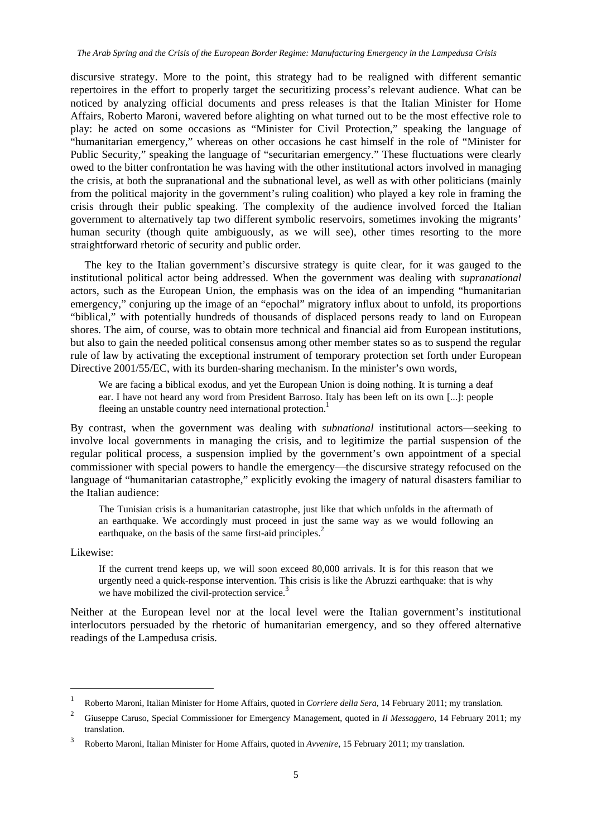discursive strategy. More to the point, this strategy had to be realigned with different semantic repertoires in the effort to properly target the securitizing process's relevant audience. What can be noticed by analyzing official documents and press releases is that the Italian Minister for Home Affairs, Roberto Maroni, wavered before alighting on what turned out to be the most effective role to play: he acted on some occasions as "Minister for Civil Protection," speaking the language of "humanitarian emergency," whereas on other occasions he cast himself in the role of "Minister for Public Security," speaking the language of "securitarian emergency." These fluctuations were clearly owed to the bitter confrontation he was having with the other institutional actors involved in managing the crisis, at both the supranational and the subnational level, as well as with other politicians (mainly from the political majority in the government's ruling coalition) who played a key role in framing the crisis through their public speaking. The complexity of the audience involved forced the Italian government to alternatively tap two different symbolic reservoirs, sometimes invoking the migrants' human security (though quite ambiguously, as we will see), other times resorting to the more straightforward rhetoric of security and public order.

The key to the Italian government's discursive strategy is quite clear, for it was gauged to the institutional political actor being addressed. When the government was dealing with *supranational* actors, such as the European Union, the emphasis was on the idea of an impending "humanitarian emergency," conjuring up the image of an "epochal" migratory influx about to unfold, its proportions "biblical," with potentially hundreds of thousands of displaced persons ready to land on European shores. The aim, of course, was to obtain more technical and financial aid from European institutions, but also to gain the needed political consensus among other member states so as to suspend the regular rule of law by activating the exceptional instrument of temporary protection set forth under European Directive 2001/55/EC, with its burden-sharing mechanism. In the minister's own words,

We are facing a biblical exodus, and yet the European Union is doing nothing. It is turning a deaf ear. I have not heard any word from President Barroso. Italy has been left on its own [...]: people fleeing an unstable country need international protection.<sup>1</sup>

By contrast, when the government was dealing with *subnational* institutional actors—seeking to involve local governments in managing the crisis, and to legitimize the partial suspension of the regular political process, a suspension implied by the government's own appointment of a special commissioner with special powers to handle the emergency—the discursive strategy refocused on the language of "humanitarian catastrophe," explicitly evoking the imagery of natural disasters familiar to the Italian audience:

The Tunisian crisis is a humanitarian catastrophe, just like that which unfolds in the aftermath of an earthquake. We accordingly must proceed in just the same way as we would following an earthquake, on the basis of the same first-aid principles.<sup>2</sup>

#### Likewise:

-

If the current trend keeps up, we will soon exceed 80,000 arrivals. It is for this reason that we urgently need a quick-response intervention. This crisis is like the Abruzzi earthquake: that is why we have mobilized the civil-protection service.<sup>3</sup>

Neither at the European level nor at the local level were the Italian government's institutional interlocutors persuaded by the rhetoric of humanitarian emergency, and so they offered alternative readings of the Lampedusa crisis.

<sup>1</sup> Roberto Maroni, Italian Minister for Home Affairs, quoted in *Corriere della Sera*, 14 February 2011; my translation.

<sup>2</sup> Giuseppe Caruso, Special Commissioner for Emergency Management, quoted in *Il Messaggero*, 14 February 2011; my translation.

<sup>3</sup> Roberto Maroni, Italian Minister for Home Affairs, quoted in *Avvenire*, 15 February 2011; my translation.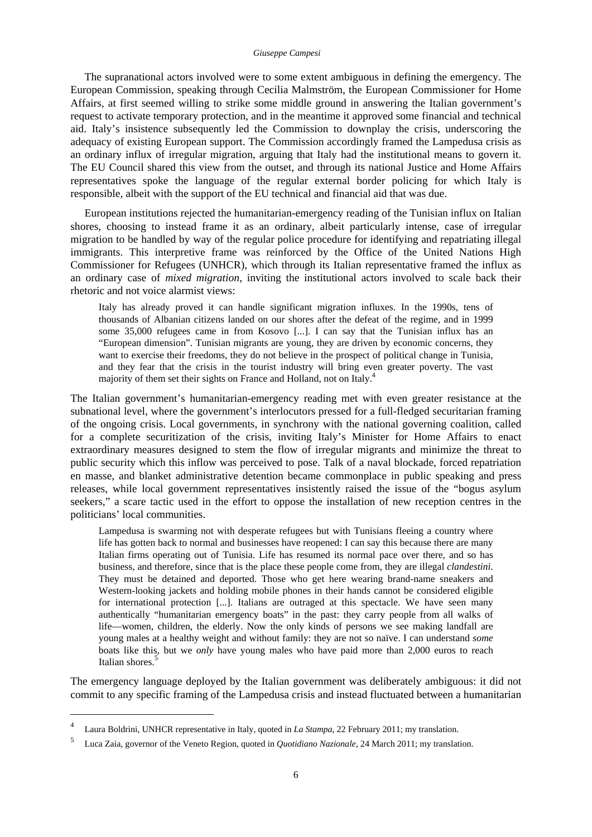#### *Giuseppe Campesi*

The supranational actors involved were to some extent ambiguous in defining the emergency. The European Commission, speaking through Cecilia Malmström, the European Commissioner for Home Affairs, at first seemed willing to strike some middle ground in answering the Italian government's request to activate temporary protection, and in the meantime it approved some financial and technical aid. Italy's insistence subsequently led the Commission to downplay the crisis, underscoring the adequacy of existing European support. The Commission accordingly framed the Lampedusa crisis as an ordinary influx of irregular migration, arguing that Italy had the institutional means to govern it. The EU Council shared this view from the outset, and through its national Justice and Home Affairs representatives spoke the language of the regular external border policing for which Italy is responsible, albeit with the support of the EU technical and financial aid that was due.

European institutions rejected the humanitarian-emergency reading of the Tunisian influx on Italian shores, choosing to instead frame it as an ordinary, albeit particularly intense, case of irregular migration to be handled by way of the regular police procedure for identifying and repatriating illegal immigrants. This interpretive frame was reinforced by the Office of the United Nations High Commissioner for Refugees (UNHCR), which through its Italian representative framed the influx as an ordinary case of *mixed migration*, inviting the institutional actors involved to scale back their rhetoric and not voice alarmist views:

Italy has already proved it can handle significant migration influxes. In the 1990s, tens of thousands of Albanian citizens landed on our shores after the defeat of the regime, and in 1999 some 35,000 refugees came in from Kosovo [...]. I can say that the Tunisian influx has an "European dimension". Tunisian migrants are young, they are driven by economic concerns, they want to exercise their freedoms, they do not believe in the prospect of political change in Tunisia, and they fear that the crisis in the tourist industry will bring even greater poverty. The vast majority of them set their sights on France and Holland, not on Italy.<sup>4</sup>

The Italian government's humanitarian-emergency reading met with even greater resistance at the subnational level, where the government's interlocutors pressed for a full-fledged securitarian framing of the ongoing crisis. Local governments, in synchrony with the national governing coalition, called for a complete securitization of the crisis, inviting Italy's Minister for Home Affairs to enact extraordinary measures designed to stem the flow of irregular migrants and minimize the threat to public security which this inflow was perceived to pose. Talk of a naval blockade, forced repatriation en masse, and blanket administrative detention became commonplace in public speaking and press releases, while local government representatives insistently raised the issue of the "bogus asylum seekers," a scare tactic used in the effort to oppose the installation of new reception centres in the politicians' local communities.

Lampedusa is swarming not with desperate refugees but with Tunisians fleeing a country where life has gotten back to normal and businesses have reopened: I can say this because there are many Italian firms operating out of Tunisia. Life has resumed its normal pace over there, and so has business, and therefore, since that is the place these people come from, they are illegal *clandestini*. They must be detained and deported. Those who get here wearing brand-name sneakers and Western-looking jackets and holding mobile phones in their hands cannot be considered eligible for international protection [...]. Italians are outraged at this spectacle. We have seen many authentically "humanitarian emergency boats" in the past: they carry people from all walks of life—women, children, the elderly. Now the only kinds of persons we see making landfall are young males at a healthy weight and without family: they are not so naïve. I can understand *some* boats like this, but we *only* have young males who have paid more than 2,000 euros to reach Italian shores.<sup>5</sup>

The emergency language deployed by the Italian government was deliberately ambiguous: it did not commit to any specific framing of the Lampedusa crisis and instead fluctuated between a humanitarian

<sup>4</sup> Laura Boldrini, UNHCR representative in Italy, quoted in *La Stampa*, 22 February 2011; my translation.

<sup>5</sup> Luca Zaia, governor of the Veneto Region, quoted in *Quotidiano Nazionale*, 24 March 2011; my translation.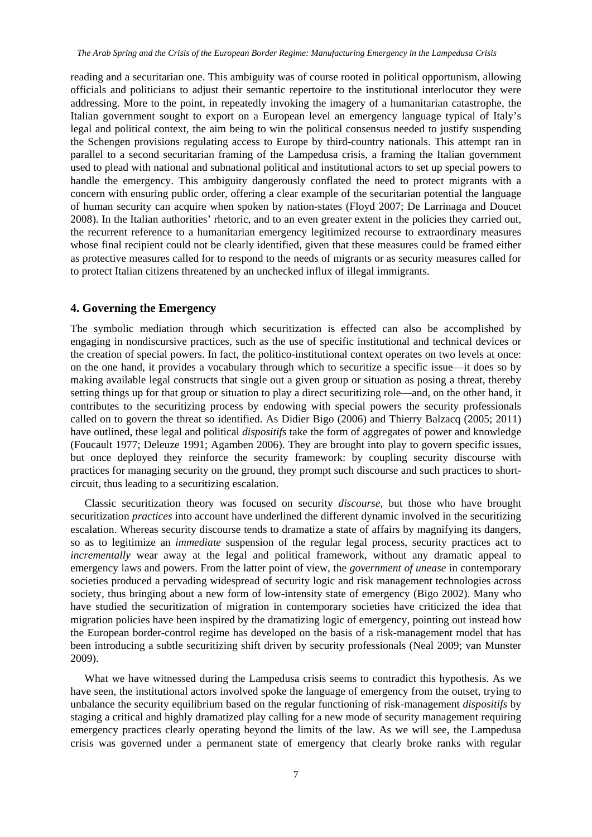reading and a securitarian one. This ambiguity was of course rooted in political opportunism, allowing officials and politicians to adjust their semantic repertoire to the institutional interlocutor they were addressing. More to the point, in repeatedly invoking the imagery of a humanitarian catastrophe, the Italian government sought to export on a European level an emergency language typical of Italy's legal and political context, the aim being to win the political consensus needed to justify suspending the Schengen provisions regulating access to Europe by third-country nationals. This attempt ran in parallel to a second securitarian framing of the Lampedusa crisis, a framing the Italian government used to plead with national and subnational political and institutional actors to set up special powers to handle the emergency. This ambiguity dangerously conflated the need to protect migrants with a concern with ensuring public order, offering a clear example of the securitarian potential the language of human security can acquire when spoken by nation-states (Floyd 2007; De Larrinaga and Doucet 2008). In the Italian authorities' rhetoric, and to an even greater extent in the policies they carried out, the recurrent reference to a humanitarian emergency legitimized recourse to extraordinary measures whose final recipient could not be clearly identified, given that these measures could be framed either as protective measures called for to respond to the needs of migrants or as security measures called for to protect Italian citizens threatened by an unchecked influx of illegal immigrants.

#### **4. Governing the Emergency**

The symbolic mediation through which securitization is effected can also be accomplished by engaging in nondiscursive practices, such as the use of specific institutional and technical devices or the creation of special powers. In fact, the politico-institutional context operates on two levels at once: on the one hand, it provides a vocabulary through which to securitize a specific issue—it does so by making available legal constructs that single out a given group or situation as posing a threat, thereby setting things up for that group or situation to play a direct securitizing role—and, on the other hand, it contributes to the securitizing process by endowing with special powers the security professionals called on to govern the threat so identified. As Didier Bigo (2006) and Thierry Balzacq (2005; 2011) have outlined, these legal and political *dispositifs* take the form of aggregates of power and knowledge (Foucault 1977; Deleuze 1991; Agamben 2006). They are brought into play to govern specific issues, but once deployed they reinforce the security framework: by coupling security discourse with practices for managing security on the ground, they prompt such discourse and such practices to shortcircuit, thus leading to a securitizing escalation.

Classic securitization theory was focused on security *discourse*, but those who have brought securitization *practices* into account have underlined the different dynamic involved in the securitizing escalation. Whereas security discourse tends to dramatize a state of affairs by magnifying its dangers, so as to legitimize an *immediate* suspension of the regular legal process, security practices act to *incrementally* wear away at the legal and political framework, without any dramatic appeal to emergency laws and powers. From the latter point of view, the *government of unease* in contemporary societies produced a pervading widespread of security logic and risk management technologies across society, thus bringing about a new form of low-intensity state of emergency (Bigo 2002). Many who have studied the securitization of migration in contemporary societies have criticized the idea that migration policies have been inspired by the dramatizing logic of emergency, pointing out instead how the European border-control regime has developed on the basis of a risk-management model that has been introducing a subtle securitizing shift driven by security professionals (Neal 2009; van Munster 2009).

What we have witnessed during the Lampedusa crisis seems to contradict this hypothesis. As we have seen, the institutional actors involved spoke the language of emergency from the outset, trying to unbalance the security equilibrium based on the regular functioning of risk-management *dispositifs* by staging a critical and highly dramatized play calling for a new mode of security management requiring emergency practices clearly operating beyond the limits of the law. As we will see, the Lampedusa crisis was governed under a permanent state of emergency that clearly broke ranks with regular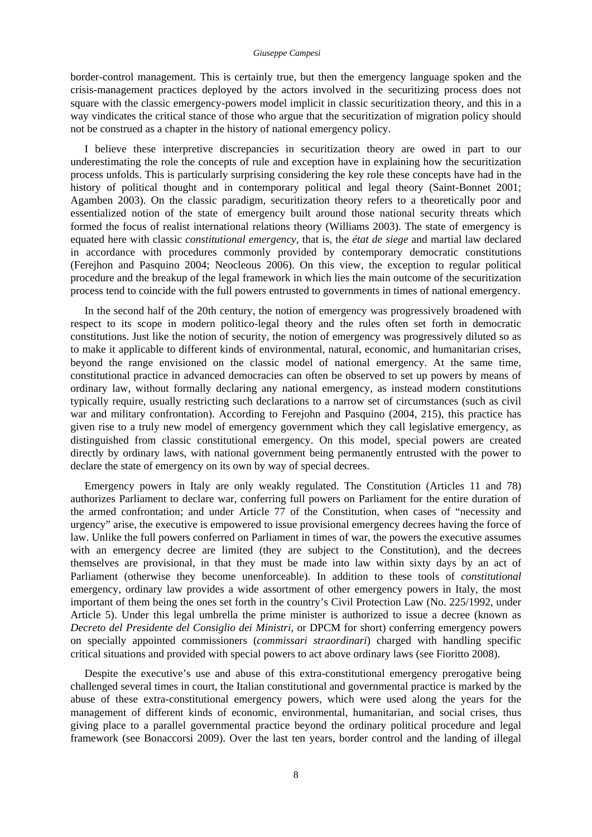#### *Giuseppe Campesi*

border-control management. This is certainly true, but then the emergency language spoken and the crisis-management practices deployed by the actors involved in the securitizing process does not square with the classic emergency-powers model implicit in classic securitization theory, and this in a way vindicates the critical stance of those who argue that the securitization of migration policy should not be construed as a chapter in the history of national emergency policy.

I believe these interpretive discrepancies in securitization theory are owed in part to our underestimating the role the concepts of rule and exception have in explaining how the securitization process unfolds. This is particularly surprising considering the key role these concepts have had in the history of political thought and in contemporary political and legal theory (Saint-Bonnet 2001; Agamben 2003). On the classic paradigm, securitization theory refers to a theoretically poor and essentialized notion of the state of emergency built around those national security threats which formed the focus of realist international relations theory (Williams 2003). The state of emergency is equated here with classic *constitutional emergency*, that is, the *état de siege* and martial law declared in accordance with procedures commonly provided by contemporary democratic constitutions (Ferejhon and Pasquino 2004; Neocleous 2006). On this view, the exception to regular political procedure and the breakup of the legal framework in which lies the main outcome of the securitization process tend to coincide with the full powers entrusted to governments in times of national emergency.

In the second half of the 20th century, the notion of emergency was progressively broadened with respect to its scope in modern politico-legal theory and the rules often set forth in democratic constitutions. Just like the notion of security, the notion of emergency was progressively diluted so as to make it applicable to different kinds of environmental, natural, economic, and humanitarian crises, beyond the range envisioned on the classic model of national emergency. At the same time, constitutional practice in advanced democracies can often be observed to set up powers by means of ordinary law, without formally declaring any national emergency, as instead modern constitutions typically require, usually restricting such declarations to a narrow set of circumstances (such as civil war and military confrontation). According to Ferejohn and Pasquino (2004, 215), this practice has given rise to a truly new model of emergency government which they call legislative emergency, as distinguished from classic constitutional emergency. On this model, special powers are created directly by ordinary laws, with national government being permanently entrusted with the power to declare the state of emergency on its own by way of special decrees.

Emergency powers in Italy are only weakly regulated. The Constitution (Articles 11 and 78) authorizes Parliament to declare war, conferring full powers on Parliament for the entire duration of the armed confrontation; and under Article 77 of the Constitution, when cases of "necessity and urgency" arise, the executive is empowered to issue provisional emergency decrees having the force of law. Unlike the full powers conferred on Parliament in times of war, the powers the executive assumes with an emergency decree are limited (they are subject to the Constitution), and the decrees themselves are provisional, in that they must be made into law within sixty days by an act of Parliament (otherwise they become unenforceable). In addition to these tools of *constitutional* emergency, ordinary law provides a wide assortment of other emergency powers in Italy, the most important of them being the ones set forth in the country's Civil Protection Law (No. 225/1992, under Article 5). Under this legal umbrella the prime minister is authorized to issue a decree (known as *Decreto del Presidente del Consiglio dei Ministri*, or DPCM for short) conferring emergency powers on specially appointed commissioners (*commissari straordinari*) charged with handling specific critical situations and provided with special powers to act above ordinary laws (see Fioritto 2008).

Despite the executive's use and abuse of this extra-constitutional emergency prerogative being challenged several times in court, the Italian constitutional and governmental practice is marked by the abuse of these extra-constitutional emergency powers, which were used along the years for the management of different kinds of economic, environmental, humanitarian, and social crises, thus giving place to a parallel governmental practice beyond the ordinary political procedure and legal framework (see Bonaccorsi 2009). Over the last ten years, border control and the landing of illegal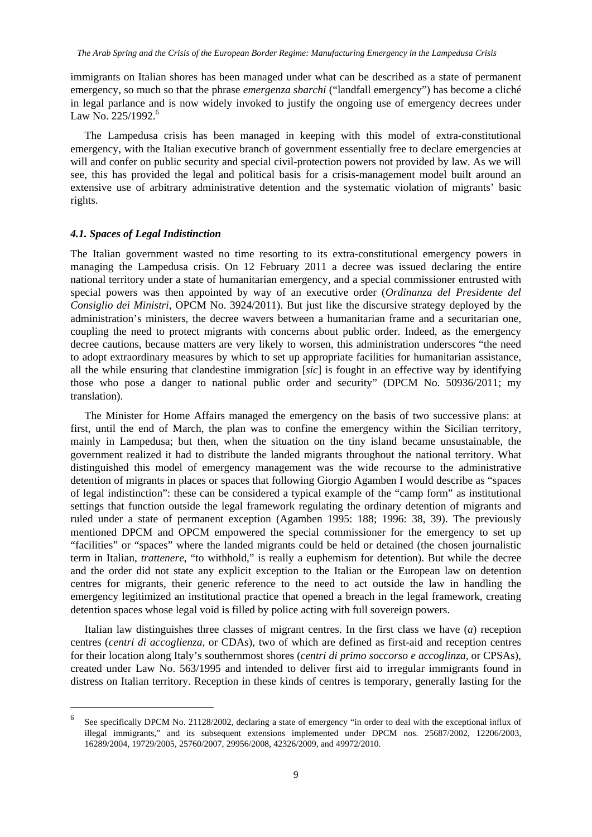immigrants on Italian shores has been managed under what can be described as a state of permanent emergency, so much so that the phrase *emergenza sbarchi* ("landfall emergency") has become a cliché in legal parlance and is now widely invoked to justify the ongoing use of emergency decrees under Law No. 225/1992.<sup>6</sup>

The Lampedusa crisis has been managed in keeping with this model of extra-constitutional emergency, with the Italian executive branch of government essentially free to declare emergencies at will and confer on public security and special civil-protection powers not provided by law. As we will see, this has provided the legal and political basis for a crisis-management model built around an extensive use of arbitrary administrative detention and the systematic violation of migrants' basic rights.

#### *4.1. Spaces of Legal Indistinction*

1

The Italian government wasted no time resorting to its extra-constitutional emergency powers in managing the Lampedusa crisis. On 12 February 2011 a decree was issued declaring the entire national territory under a state of humanitarian emergency, and a special commissioner entrusted with special powers was then appointed by way of an executive order (*Ordinanza del Presidente del Consiglio dei Ministri*, OPCM No. 3924/2011). But just like the discursive strategy deployed by the administration's ministers, the decree wavers between a humanitarian frame and a securitarian one, coupling the need to protect migrants with concerns about public order. Indeed, as the emergency decree cautions, because matters are very likely to worsen, this administration underscores "the need to adopt extraordinary measures by which to set up appropriate facilities for humanitarian assistance, all the while ensuring that clandestine immigration [*sic*] is fought in an effective way by identifying those who pose a danger to national public order and security" (DPCM No. 50936/2011; my translation).

The Minister for Home Affairs managed the emergency on the basis of two successive plans: at first, until the end of March, the plan was to confine the emergency within the Sicilian territory, mainly in Lampedusa; but then, when the situation on the tiny island became unsustainable, the government realized it had to distribute the landed migrants throughout the national territory. What distinguished this model of emergency management was the wide recourse to the administrative detention of migrants in places or spaces that following Giorgio Agamben I would describe as "spaces of legal indistinction": these can be considered a typical example of the "camp form" as institutional settings that function outside the legal framework regulating the ordinary detention of migrants and ruled under a state of permanent exception (Agamben 1995: 188; 1996: 38, 39). The previously mentioned DPCM and OPCM empowered the special commissioner for the emergency to set up "facilities" or "spaces" where the landed migrants could be held or detained (the chosen journalistic term in Italian, *trattenere*, "to withhold," is really a euphemism for detention). But while the decree and the order did not state any explicit exception to the Italian or the European law on detention centres for migrants, their generic reference to the need to act outside the law in handling the emergency legitimized an institutional practice that opened a breach in the legal framework, creating detention spaces whose legal void is filled by police acting with full sovereign powers.

Italian law distinguishes three classes of migrant centres. In the first class we have (*a*) reception centres (*centri di accoglienza*, or CDAs), two of which are defined as first-aid and reception centres for their location along Italy's southernmost shores (*centri di primo soccorso e accoglinza*, or CPSAs), created under Law No. 563/1995 and intended to deliver first aid to irregular immigrants found in distress on Italian territory. Reception in these kinds of centres is temporary, generally lasting for the

<sup>6</sup> See specifically DPCM No. 21128/2002, declaring a state of emergency "in order to deal with the exceptional influx of illegal immigrants," and its subsequent extensions implemented under DPCM nos. 25687/2002, 12206/2003, 16289/2004, 19729/2005, 25760/2007, 29956/2008, 42326/2009, and 49972/2010.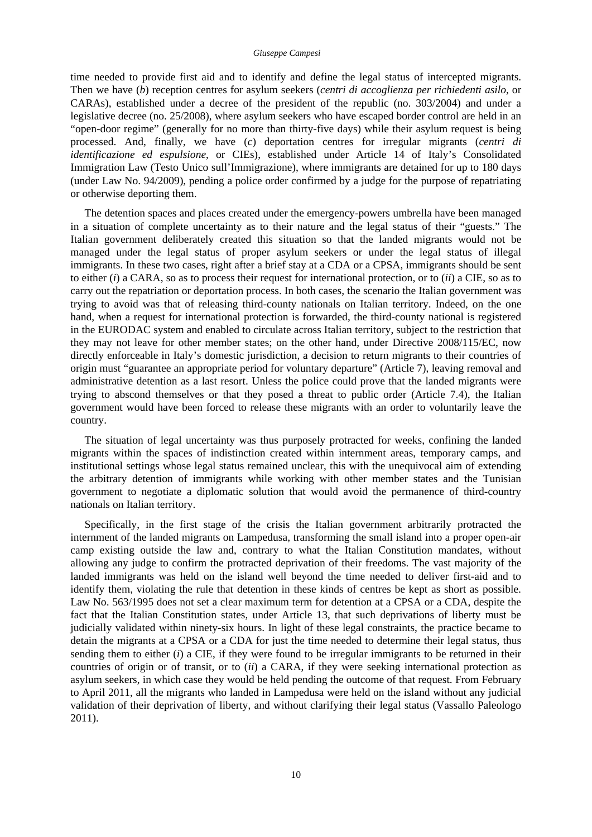time needed to provide first aid and to identify and define the legal status of intercepted migrants. Then we have (*b*) reception centres for asylum seekers (*centri di accoglienza per richiedenti asilo*, or CARAs), established under a decree of the president of the republic (no. 303/2004) and under a legislative decree (no. 25/2008), where asylum seekers who have escaped border control are held in an "open-door regime" (generally for no more than thirty-five days) while their asylum request is being processed. And, finally, we have (*c*) deportation centres for irregular migrants (*centri di identificazione ed espulsione*, or CIEs), established under Article 14 of Italy's Consolidated Immigration Law (Testo Unico sull'Immigrazione), where immigrants are detained for up to 180 days (under Law No. 94/2009), pending a police order confirmed by a judge for the purpose of repatriating or otherwise deporting them.

The detention spaces and places created under the emergency-powers umbrella have been managed in a situation of complete uncertainty as to their nature and the legal status of their "guests." The Italian government deliberately created this situation so that the landed migrants would not be managed under the legal status of proper asylum seekers or under the legal status of illegal immigrants. In these two cases, right after a brief stay at a CDA or a CPSA, immigrants should be sent to either (*i*) a CARA, so as to process their request for international protection, or to (*ii*) a CIE, so as to carry out the repatriation or deportation process. In both cases, the scenario the Italian government was trying to avoid was that of releasing third-county nationals on Italian territory. Indeed, on the one hand, when a request for international protection is forwarded, the third-county national is registered in the EURODAC system and enabled to circulate across Italian territory, subject to the restriction that they may not leave for other member states; on the other hand, under Directive 2008/115/EC, now directly enforceable in Italy's domestic jurisdiction, a decision to return migrants to their countries of origin must "guarantee an appropriate period for voluntary departure" (Article 7), leaving removal and administrative detention as a last resort. Unless the police could prove that the landed migrants were trying to abscond themselves or that they posed a threat to public order (Article 7.4), the Italian government would have been forced to release these migrants with an order to voluntarily leave the country.

The situation of legal uncertainty was thus purposely protracted for weeks, confining the landed migrants within the spaces of indistinction created within internment areas, temporary camps, and institutional settings whose legal status remained unclear, this with the unequivocal aim of extending the arbitrary detention of immigrants while working with other member states and the Tunisian government to negotiate a diplomatic solution that would avoid the permanence of third-country nationals on Italian territory.

Specifically, in the first stage of the crisis the Italian government arbitrarily protracted the internment of the landed migrants on Lampedusa, transforming the small island into a proper open-air camp existing outside the law and, contrary to what the Italian Constitution mandates, without allowing any judge to confirm the protracted deprivation of their freedoms. The vast majority of the landed immigrants was held on the island well beyond the time needed to deliver first-aid and to identify them, violating the rule that detention in these kinds of centres be kept as short as possible. Law No. 563/1995 does not set a clear maximum term for detention at a CPSA or a CDA, despite the fact that the Italian Constitution states, under Article 13, that such deprivations of liberty must be judicially validated within ninety-six hours. In light of these legal constraints, the practice became to detain the migrants at a CPSA or a CDA for just the time needed to determine their legal status, thus sending them to either (*i*) a CIE, if they were found to be irregular immigrants to be returned in their countries of origin or of transit, or to (*ii*) a CARA, if they were seeking international protection as asylum seekers, in which case they would be held pending the outcome of that request. From February to April 2011, all the migrants who landed in Lampedusa were held on the island without any judicial validation of their deprivation of liberty, and without clarifying their legal status (Vassallo Paleologo 2011).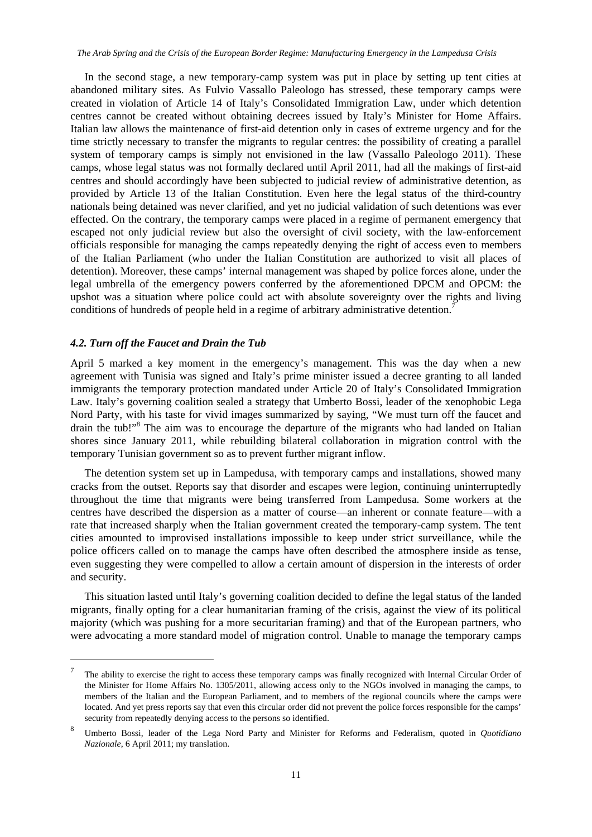In the second stage, a new temporary-camp system was put in place by setting up tent cities at abandoned military sites. As Fulvio Vassallo Paleologo has stressed, these temporary camps were created in violation of Article 14 of Italy's Consolidated Immigration Law, under which detention centres cannot be created without obtaining decrees issued by Italy's Minister for Home Affairs. Italian law allows the maintenance of first-aid detention only in cases of extreme urgency and for the time strictly necessary to transfer the migrants to regular centres: the possibility of creating a parallel system of temporary camps is simply not envisioned in the law (Vassallo Paleologo 2011). These camps, whose legal status was not formally declared until April 2011, had all the makings of first-aid centres and should accordingly have been subjected to judicial review of administrative detention, as provided by Article 13 of the Italian Constitution. Even here the legal status of the third-country nationals being detained was never clarified, and yet no judicial validation of such detentions was ever effected. On the contrary, the temporary camps were placed in a regime of permanent emergency that escaped not only judicial review but also the oversight of civil society, with the law-enforcement officials responsible for managing the camps repeatedly denying the right of access even to members of the Italian Parliament (who under the Italian Constitution are authorized to visit all places of detention). Moreover, these camps' internal management was shaped by police forces alone, under the legal umbrella of the emergency powers conferred by the aforementioned DPCM and OPCM: the upshot was a situation where police could act with absolute sovereignty over the rights and living conditions of hundreds of people held in a regime of arbitrary administrative detention.<sup>7</sup>

#### *4.2. Turn off the Faucet and Drain the Tub*

1

April 5 marked a key moment in the emergency's management. This was the day when a new agreement with Tunisia was signed and Italy's prime minister issued a decree granting to all landed immigrants the temporary protection mandated under Article 20 of Italy's Consolidated Immigration Law. Italy's governing coalition sealed a strategy that Umberto Bossi, leader of the xenophobic Lega Nord Party, with his taste for vivid images summarized by saying, "We must turn off the faucet and drain the tub!"<sup>8</sup> The aim was to encourage the departure of the migrants who had landed on Italian shores since January 2011, while rebuilding bilateral collaboration in migration control with the temporary Tunisian government so as to prevent further migrant inflow.

The detention system set up in Lampedusa, with temporary camps and installations, showed many cracks from the outset. Reports say that disorder and escapes were legion, continuing uninterruptedly throughout the time that migrants were being transferred from Lampedusa. Some workers at the centres have described the dispersion as a matter of course—an inherent or connate feature—with a rate that increased sharply when the Italian government created the temporary-camp system. The tent cities amounted to improvised installations impossible to keep under strict surveillance, while the police officers called on to manage the camps have often described the atmosphere inside as tense, even suggesting they were compelled to allow a certain amount of dispersion in the interests of order and security.

This situation lasted until Italy's governing coalition decided to define the legal status of the landed migrants, finally opting for a clear humanitarian framing of the crisis, against the view of its political majority (which was pushing for a more securitarian framing) and that of the European partners, who were advocating a more standard model of migration control. Unable to manage the temporary camps

<sup>7</sup> The ability to exercise the right to access these temporary camps was finally recognized with Internal Circular Order of the Minister for Home Affairs No. 1305/2011, allowing access only to the NGOs involved in managing the camps, to members of the Italian and the European Parliament, and to members of the regional councils where the camps were located. And yet press reports say that even this circular order did not prevent the police forces responsible for the camps' security from repeatedly denying access to the persons so identified.

<sup>8</sup> Umberto Bossi, leader of the Lega Nord Party and Minister for Reforms and Federalism, quoted in *Quotidiano Nazionale*, 6 April 2011; my translation.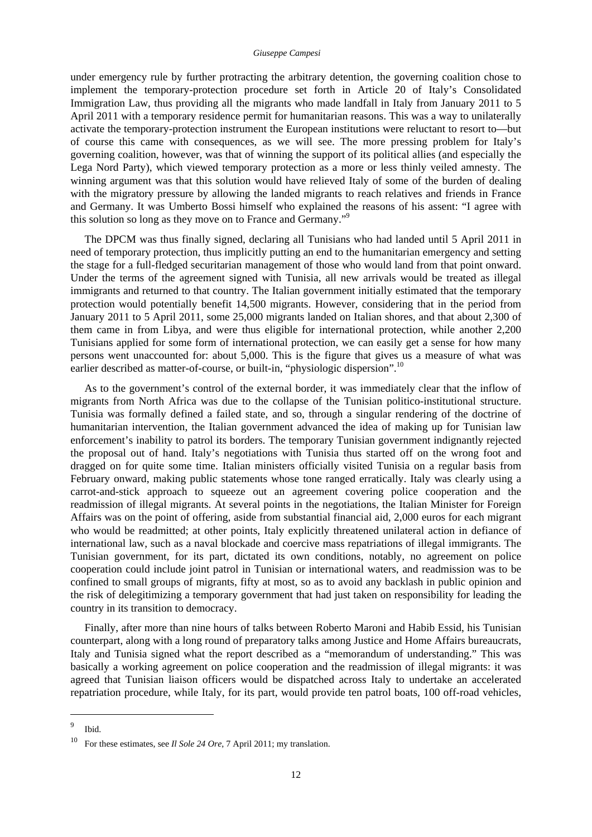#### *Giuseppe Campesi*

under emergency rule by further protracting the arbitrary detention, the governing coalition chose to implement the temporary-protection procedure set forth in Article 20 of Italy's Consolidated Immigration Law, thus providing all the migrants who made landfall in Italy from January 2011 to 5 April 2011 with a temporary residence permit for humanitarian reasons. This was a way to unilaterally activate the temporary-protection instrument the European institutions were reluctant to resort to—but of course this came with consequences, as we will see. The more pressing problem for Italy's governing coalition, however, was that of winning the support of its political allies (and especially the Lega Nord Party), which viewed temporary protection as a more or less thinly veiled amnesty. The winning argument was that this solution would have relieved Italy of some of the burden of dealing with the migratory pressure by allowing the landed migrants to reach relatives and friends in France and Germany. It was Umberto Bossi himself who explained the reasons of his assent: "I agree with this solution so long as they move on to France and Germany."9

The DPCM was thus finally signed, declaring all Tunisians who had landed until 5 April 2011 in need of temporary protection, thus implicitly putting an end to the humanitarian emergency and setting the stage for a full-fledged securitarian management of those who would land from that point onward. Under the terms of the agreement signed with Tunisia, all new arrivals would be treated as illegal immigrants and returned to that country. The Italian government initially estimated that the temporary protection would potentially benefit 14,500 migrants. However, considering that in the period from January 2011 to 5 April 2011, some 25,000 migrants landed on Italian shores, and that about 2,300 of them came in from Libya, and were thus eligible for international protection, while another 2,200 Tunisians applied for some form of international protection, we can easily get a sense for how many persons went unaccounted for: about 5,000. This is the figure that gives us a measure of what was earlier described as matter-of-course, or built-in, "physiologic dispersion".<sup>10</sup>

As to the government's control of the external border, it was immediately clear that the inflow of migrants from North Africa was due to the collapse of the Tunisian politico-institutional structure. Tunisia was formally defined a failed state, and so, through a singular rendering of the doctrine of humanitarian intervention, the Italian government advanced the idea of making up for Tunisian law enforcement's inability to patrol its borders. The temporary Tunisian government indignantly rejected the proposal out of hand. Italy's negotiations with Tunisia thus started off on the wrong foot and dragged on for quite some time. Italian ministers officially visited Tunisia on a regular basis from February onward, making public statements whose tone ranged erratically. Italy was clearly using a carrot-and-stick approach to squeeze out an agreement covering police cooperation and the readmission of illegal migrants. At several points in the negotiations, the Italian Minister for Foreign Affairs was on the point of offering, aside from substantial financial aid, 2,000 euros for each migrant who would be readmitted; at other points, Italy explicitly threatened unilateral action in defiance of international law, such as a naval blockade and coercive mass repatriations of illegal immigrants. The Tunisian government, for its part, dictated its own conditions, notably, no agreement on police cooperation could include joint patrol in Tunisian or international waters, and readmission was to be confined to small groups of migrants, fifty at most, so as to avoid any backlash in public opinion and the risk of delegitimizing a temporary government that had just taken on responsibility for leading the country in its transition to democracy.

Finally, after more than nine hours of talks between Roberto Maroni and Habib Essid, his Tunisian counterpart, along with a long round of preparatory talks among Justice and Home Affairs bureaucrats, Italy and Tunisia signed what the report described as a "memorandum of understanding." This was basically a working agreement on police cooperation and the readmission of illegal migrants: it was agreed that Tunisian liaison officers would be dispatched across Italy to undertake an accelerated repatriation procedure, while Italy, for its part, would provide ten patrol boats, 100 off-road vehicles,

<sup>9</sup> Ibid.

<sup>10</sup> For these estimates, see *Il Sole 24 Ore*, 7 April 2011; my translation.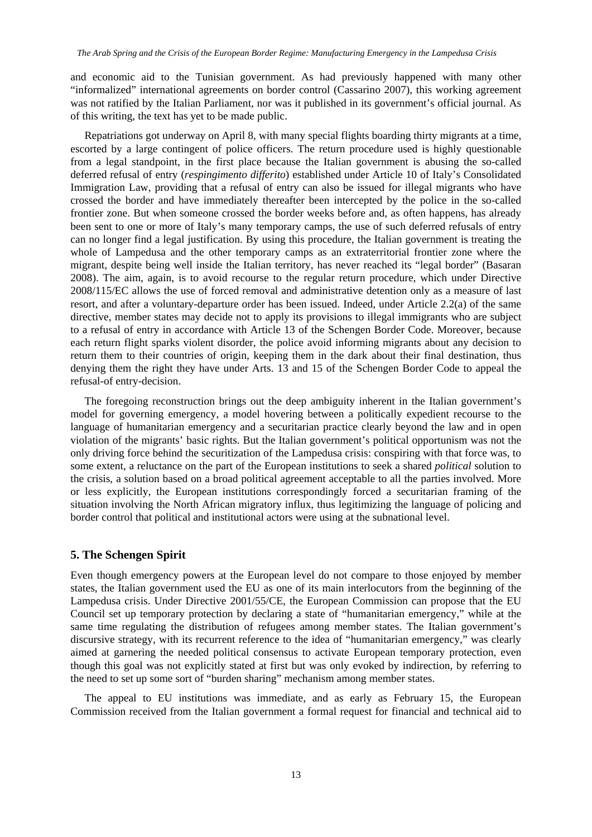and economic aid to the Tunisian government. As had previously happened with many other "informalized" international agreements on border control (Cassarino 2007), this working agreement was not ratified by the Italian Parliament, nor was it published in its government's official journal. As of this writing, the text has yet to be made public.

Repatriations got underway on April 8, with many special flights boarding thirty migrants at a time, escorted by a large contingent of police officers. The return procedure used is highly questionable from a legal standpoint, in the first place because the Italian government is abusing the so-called deferred refusal of entry (*respingimento differito*) established under Article 10 of Italy's Consolidated Immigration Law, providing that a refusal of entry can also be issued for illegal migrants who have crossed the border and have immediately thereafter been intercepted by the police in the so-called frontier zone. But when someone crossed the border weeks before and, as often happens, has already been sent to one or more of Italy's many temporary camps, the use of such deferred refusals of entry can no longer find a legal justification. By using this procedure, the Italian government is treating the whole of Lampedusa and the other temporary camps as an extraterritorial frontier zone where the migrant, despite being well inside the Italian territory, has never reached its "legal border" (Basaran 2008). The aim, again, is to avoid recourse to the regular return procedure, which under Directive 2008/115/EC allows the use of forced removal and administrative detention only as a measure of last resort, and after a voluntary-departure order has been issued. Indeed, under Article 2.2(a) of the same directive, member states may decide not to apply its provisions to illegal immigrants who are subject to a refusal of entry in accordance with Article 13 of the Schengen Border Code. Moreover, because each return flight sparks violent disorder, the police avoid informing migrants about any decision to return them to their countries of origin, keeping them in the dark about their final destination, thus denying them the right they have under Arts. 13 and 15 of the Schengen Border Code to appeal the refusal-of entry-decision.

The foregoing reconstruction brings out the deep ambiguity inherent in the Italian government's model for governing emergency, a model hovering between a politically expedient recourse to the language of humanitarian emergency and a securitarian practice clearly beyond the law and in open violation of the migrants' basic rights. But the Italian government's political opportunism was not the only driving force behind the securitization of the Lampedusa crisis: conspiring with that force was, to some extent, a reluctance on the part of the European institutions to seek a shared *political* solution to the crisis, a solution based on a broad political agreement acceptable to all the parties involved. More or less explicitly, the European institutions correspondingly forced a securitarian framing of the situation involving the North African migratory influx, thus legitimizing the language of policing and border control that political and institutional actors were using at the subnational level.

### **5. The Schengen Spirit**

Even though emergency powers at the European level do not compare to those enjoyed by member states, the Italian government used the EU as one of its main interlocutors from the beginning of the Lampedusa crisis. Under Directive 2001/55/CE, the European Commission can propose that the EU Council set up temporary protection by declaring a state of "humanitarian emergency," while at the same time regulating the distribution of refugees among member states. The Italian government's discursive strategy, with its recurrent reference to the idea of "humanitarian emergency," was clearly aimed at garnering the needed political consensus to activate European temporary protection, even though this goal was not explicitly stated at first but was only evoked by indirection, by referring to the need to set up some sort of "burden sharing" mechanism among member states.

The appeal to EU institutions was immediate, and as early as February 15, the European Commission received from the Italian government a formal request for financial and technical aid to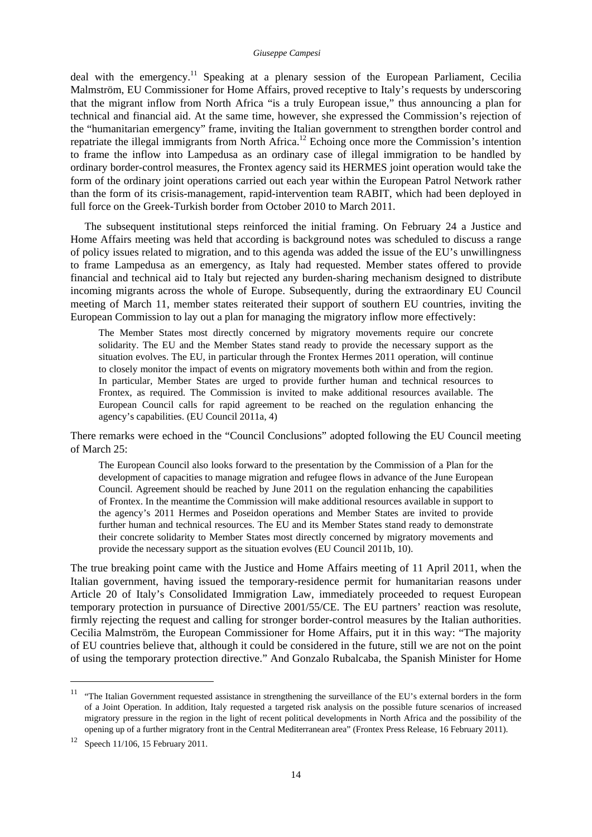deal with the emergency.<sup>11</sup> Speaking at a plenary session of the European Parliament, Cecilia Malmström, EU Commissioner for Home Affairs, proved receptive to Italy's requests by underscoring that the migrant inflow from North Africa "is a truly European issue," thus announcing a plan for technical and financial aid. At the same time, however, she expressed the Commission's rejection of the "humanitarian emergency" frame, inviting the Italian government to strengthen border control and repatriate the illegal immigrants from North Africa.<sup>12</sup> Echoing once more the Commission's intention to frame the inflow into Lampedusa as an ordinary case of illegal immigration to be handled by ordinary border-control measures, the Frontex agency said its HERMES joint operation would take the form of the ordinary joint operations carried out each year within the European Patrol Network rather than the form of its crisis-management, rapid-intervention team RABIT, which had been deployed in full force on the Greek-Turkish border from October 2010 to March 2011.

The subsequent institutional steps reinforced the initial framing. On February 24 a Justice and Home Affairs meeting was held that according is background notes was scheduled to discuss a range of policy issues related to migration, and to this agenda was added the issue of the EU's unwillingness to frame Lampedusa as an emergency, as Italy had requested. Member states offered to provide financial and technical aid to Italy but rejected any burden-sharing mechanism designed to distribute incoming migrants across the whole of Europe. Subsequently, during the extraordinary EU Council meeting of March 11, member states reiterated their support of southern EU countries, inviting the European Commission to lay out a plan for managing the migratory inflow more effectively:

The Member States most directly concerned by migratory movements require our concrete solidarity. The EU and the Member States stand ready to provide the necessary support as the situation evolves. The EU, in particular through the Frontex Hermes 2011 operation, will continue to closely monitor the impact of events on migratory movements both within and from the region. In particular, Member States are urged to provide further human and technical resources to Frontex, as required. The Commission is invited to make additional resources available. The European Council calls for rapid agreement to be reached on the regulation enhancing the agency's capabilities. (EU Council 2011a, 4)

There remarks were echoed in the "Council Conclusions" adopted following the EU Council meeting of March 25:

The European Council also looks forward to the presentation by the Commission of a Plan for the development of capacities to manage migration and refugee flows in advance of the June European Council. Agreement should be reached by June 2011 on the regulation enhancing the capabilities of Frontex. In the meantime the Commission will make additional resources available in support to the agency's 2011 Hermes and Poseidon operations and Member States are invited to provide further human and technical resources. The EU and its Member States stand ready to demonstrate their concrete solidarity to Member States most directly concerned by migratory movements and provide the necessary support as the situation evolves (EU Council 2011b, 10).

The true breaking point came with the Justice and Home Affairs meeting of 11 April 2011, when the Italian government, having issued the temporary-residence permit for humanitarian reasons under Article 20 of Italy's Consolidated Immigration Law, immediately proceeded to request European temporary protection in pursuance of Directive 2001/55/CE. The EU partners' reaction was resolute, firmly rejecting the request and calling for stronger border-control measures by the Italian authorities. Cecilia Malmström, the European Commissioner for Home Affairs, put it in this way: "The majority of EU countries believe that, although it could be considered in the future, still we are not on the point of using the temporary protection directive." And Gonzalo Rubalcaba, the Spanish Minister for Home

<sup>&</sup>lt;sup>11</sup> "The Italian Government requested assistance in strengthening the surveillance of the EU's external borders in the form of a Joint Operation. In addition, Italy requested a targeted risk analysis on the possible future scenarios of increased migratory pressure in the region in the light of recent political developments in North Africa and the possibility of the opening up of a further migratory front in the Central Mediterranean area" (Frontex Press Release, 16 February 2011).

<sup>&</sup>lt;sup>12</sup> Speech 11/106, 15 February 2011.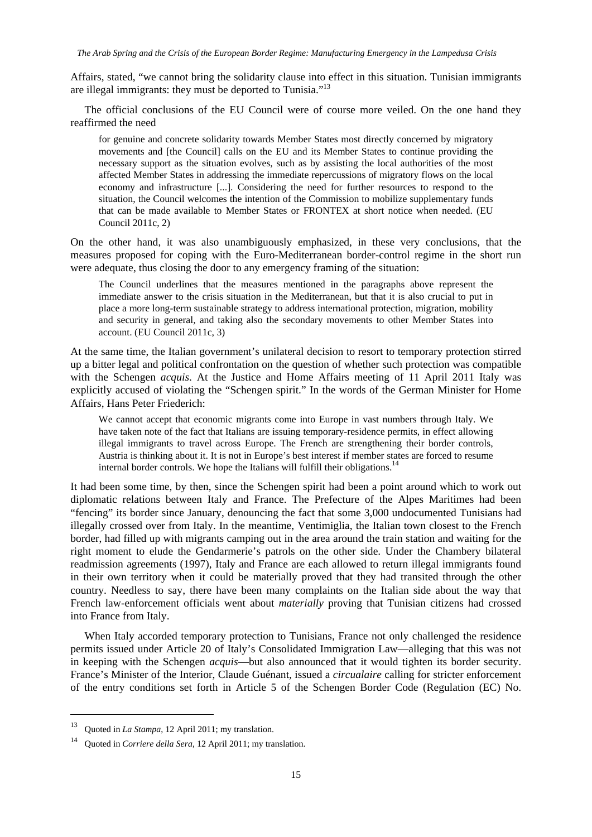Affairs, stated, "we cannot bring the solidarity clause into effect in this situation. Tunisian immigrants are illegal immigrants: they must be deported to Tunisia."<sup>13</sup>

The official conclusions of the EU Council were of course more veiled. On the one hand they reaffirmed the need

for genuine and concrete solidarity towards Member States most directly concerned by migratory movements and [the Council] calls on the EU and its Member States to continue providing the necessary support as the situation evolves, such as by assisting the local authorities of the most affected Member States in addressing the immediate repercussions of migratory flows on the local economy and infrastructure [...]. Considering the need for further resources to respond to the situation, the Council welcomes the intention of the Commission to mobilize supplementary funds that can be made available to Member States or FRONTEX at short notice when needed. (EU Council 2011c, 2)

On the other hand, it was also unambiguously emphasized, in these very conclusions, that the measures proposed for coping with the Euro-Mediterranean border-control regime in the short run were adequate, thus closing the door to any emergency framing of the situation:

The Council underlines that the measures mentioned in the paragraphs above represent the immediate answer to the crisis situation in the Mediterranean, but that it is also crucial to put in place a more long-term sustainable strategy to address international protection, migration, mobility and security in general, and taking also the secondary movements to other Member States into account. (EU Council 2011c, 3)

At the same time, the Italian government's unilateral decision to resort to temporary protection stirred up a bitter legal and political confrontation on the question of whether such protection was compatible with the Schengen *acquis*. At the Justice and Home Affairs meeting of 11 April 2011 Italy was explicitly accused of violating the "Schengen spirit." In the words of the German Minister for Home Affairs, Hans Peter Friederich:

We cannot accept that economic migrants come into Europe in vast numbers through Italy. We have taken note of the fact that Italians are issuing temporary-residence permits, in effect allowing illegal immigrants to travel across Europe. The French are strengthening their border controls, Austria is thinking about it. It is not in Europe's best interest if member states are forced to resume internal border controls. We hope the Italians will fulfill their obligations.<sup>14</sup>

It had been some time, by then, since the Schengen spirit had been a point around which to work out diplomatic relations between Italy and France. The Prefecture of the Alpes Maritimes had been "fencing" its border since January, denouncing the fact that some 3,000 undocumented Tunisians had illegally crossed over from Italy. In the meantime, Ventimiglia, the Italian town closest to the French border, had filled up with migrants camping out in the area around the train station and waiting for the right moment to elude the Gendarmerie's patrols on the other side. Under the Chambery bilateral readmission agreements (1997), Italy and France are each allowed to return illegal immigrants found in their own territory when it could be materially proved that they had transited through the other country. Needless to say, there have been many complaints on the Italian side about the way that French law-enforcement officials went about *materially* proving that Tunisian citizens had crossed into France from Italy.

When Italy accorded temporary protection to Tunisians, France not only challenged the residence permits issued under Article 20 of Italy's Consolidated Immigration Law—alleging that this was not in keeping with the Schengen *acquis*—but also announced that it would tighten its border security. France's Minister of the Interior, Claude Guénant, issued a *circualaire* calling for stricter enforcement of the entry conditions set forth in Article 5 of the Schengen Border Code (Regulation (EC) No.

<sup>13</sup> Quoted in *La Stampa*, 12 April 2011; my translation.

<sup>14</sup> Quoted in *Corriere della Sera*, 12 April 2011; my translation.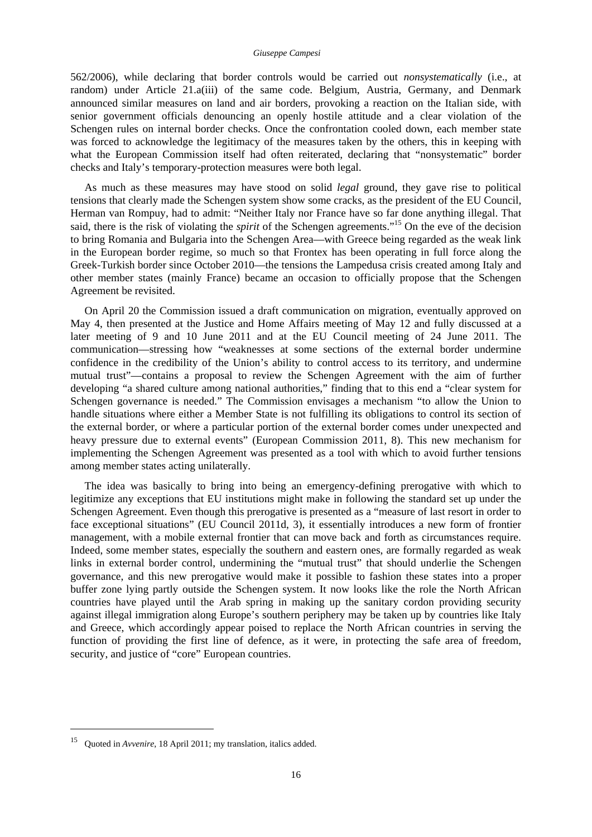562/2006), while declaring that border controls would be carried out *nonsystematically* (i.e., at random) under Article 21.a(iii) of the same code. Belgium, Austria, Germany, and Denmark announced similar measures on land and air borders, provoking a reaction on the Italian side, with senior government officials denouncing an openly hostile attitude and a clear violation of the Schengen rules on internal border checks. Once the confrontation cooled down, each member state was forced to acknowledge the legitimacy of the measures taken by the others, this in keeping with what the European Commission itself had often reiterated, declaring that "nonsystematic" border checks and Italy's temporary-protection measures were both legal.

As much as these measures may have stood on solid *legal* ground, they gave rise to political tensions that clearly made the Schengen system show some cracks, as the president of the EU Council, Herman van Rompuy, had to admit: "Neither Italy nor France have so far done anything illegal. That said, there is the risk of violating the *spirit* of the Schengen agreements."15 On the eve of the decision to bring Romania and Bulgaria into the Schengen Area—with Greece being regarded as the weak link in the European border regime, so much so that Frontex has been operating in full force along the Greek-Turkish border since October 2010—the tensions the Lampedusa crisis created among Italy and other member states (mainly France) became an occasion to officially propose that the Schengen Agreement be revisited.

On April 20 the Commission issued a draft communication on migration, eventually approved on May 4, then presented at the Justice and Home Affairs meeting of May 12 and fully discussed at a later meeting of 9 and 10 June 2011 and at the EU Council meeting of 24 June 2011. The communication—stressing how "weaknesses at some sections of the external border undermine confidence in the credibility of the Union's ability to control access to its territory, and undermine mutual trust"—contains a proposal to review the Schengen Agreement with the aim of further developing "a shared culture among national authorities," finding that to this end a "clear system for Schengen governance is needed." The Commission envisages a mechanism "to allow the Union to handle situations where either a Member State is not fulfilling its obligations to control its section of the external border, or where a particular portion of the external border comes under unexpected and heavy pressure due to external events" (European Commission 2011, 8). This new mechanism for implementing the Schengen Agreement was presented as a tool with which to avoid further tensions among member states acting unilaterally.

The idea was basically to bring into being an emergency-defining prerogative with which to legitimize any exceptions that EU institutions might make in following the standard set up under the Schengen Agreement. Even though this prerogative is presented as a "measure of last resort in order to face exceptional situations" (EU Council 2011d, 3), it essentially introduces a new form of frontier management, with a mobile external frontier that can move back and forth as circumstances require. Indeed, some member states, especially the southern and eastern ones, are formally regarded as weak links in external border control, undermining the "mutual trust" that should underlie the Schengen governance, and this new prerogative would make it possible to fashion these states into a proper buffer zone lying partly outside the Schengen system. It now looks like the role the North African countries have played until the Arab spring in making up the sanitary cordon providing security against illegal immigration along Europe's southern periphery may be taken up by countries like Italy and Greece, which accordingly appear poised to replace the North African countries in serving the function of providing the first line of defence, as it were, in protecting the safe area of freedom, security, and justice of "core" European countries.

<sup>15</sup> Quoted in *Avvenire*, 18 April 2011; my translation, italics added.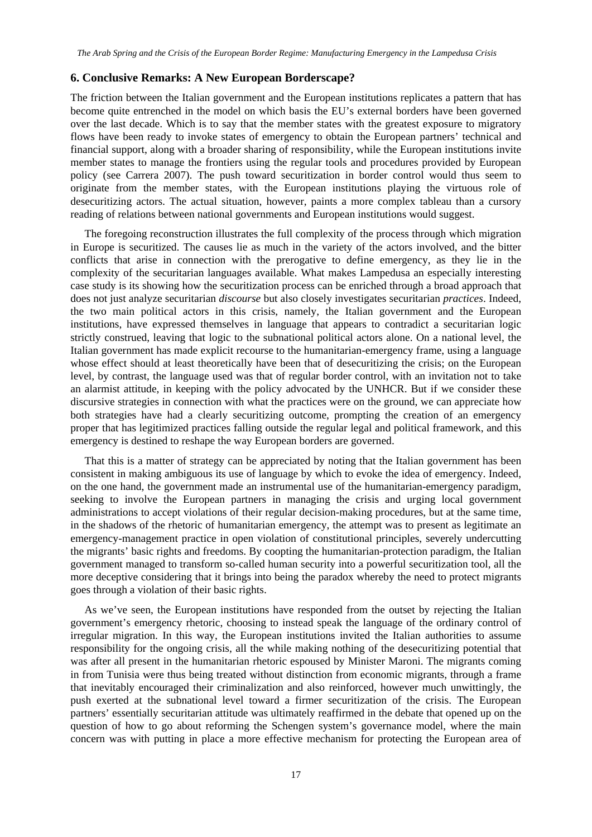#### **6. Conclusive Remarks: A New European Borderscape?**

The friction between the Italian government and the European institutions replicates a pattern that has become quite entrenched in the model on which basis the EU's external borders have been governed over the last decade. Which is to say that the member states with the greatest exposure to migratory flows have been ready to invoke states of emergency to obtain the European partners' technical and financial support, along with a broader sharing of responsibility, while the European institutions invite member states to manage the frontiers using the regular tools and procedures provided by European policy (see Carrera 2007). The push toward securitization in border control would thus seem to originate from the member states, with the European institutions playing the virtuous role of desecuritizing actors. The actual situation, however, paints a more complex tableau than a cursory reading of relations between national governments and European institutions would suggest.

The foregoing reconstruction illustrates the full complexity of the process through which migration in Europe is securitized. The causes lie as much in the variety of the actors involved, and the bitter conflicts that arise in connection with the prerogative to define emergency, as they lie in the complexity of the securitarian languages available. What makes Lampedusa an especially interesting case study is its showing how the securitization process can be enriched through a broad approach that does not just analyze securitarian *discourse* but also closely investigates securitarian *practices*. Indeed, the two main political actors in this crisis, namely, the Italian government and the European institutions, have expressed themselves in language that appears to contradict a securitarian logic strictly construed, leaving that logic to the subnational political actors alone. On a national level, the Italian government has made explicit recourse to the humanitarian-emergency frame, using a language whose effect should at least theoretically have been that of desecuritizing the crisis; on the European level, by contrast, the language used was that of regular border control, with an invitation not to take an alarmist attitude, in keeping with the policy advocated by the UNHCR. But if we consider these discursive strategies in connection with what the practices were on the ground, we can appreciate how both strategies have had a clearly securitizing outcome, prompting the creation of an emergency proper that has legitimized practices falling outside the regular legal and political framework, and this emergency is destined to reshape the way European borders are governed.

That this is a matter of strategy can be appreciated by noting that the Italian government has been consistent in making ambiguous its use of language by which to evoke the idea of emergency. Indeed, on the one hand, the government made an instrumental use of the humanitarian-emergency paradigm, seeking to involve the European partners in managing the crisis and urging local government administrations to accept violations of their regular decision-making procedures, but at the same time, in the shadows of the rhetoric of humanitarian emergency, the attempt was to present as legitimate an emergency-management practice in open violation of constitutional principles, severely undercutting the migrants' basic rights and freedoms. By coopting the humanitarian-protection paradigm, the Italian government managed to transform so-called human security into a powerful securitization tool, all the more deceptive considering that it brings into being the paradox whereby the need to protect migrants goes through a violation of their basic rights.

As we've seen, the European institutions have responded from the outset by rejecting the Italian government's emergency rhetoric, choosing to instead speak the language of the ordinary control of irregular migration. In this way, the European institutions invited the Italian authorities to assume responsibility for the ongoing crisis, all the while making nothing of the desecuritizing potential that was after all present in the humanitarian rhetoric espoused by Minister Maroni. The migrants coming in from Tunisia were thus being treated without distinction from economic migrants, through a frame that inevitably encouraged their criminalization and also reinforced, however much unwittingly, the push exerted at the subnational level toward a firmer securitization of the crisis. The European partners' essentially securitarian attitude was ultimately reaffirmed in the debate that opened up on the question of how to go about reforming the Schengen system's governance model, where the main concern was with putting in place a more effective mechanism for protecting the European area of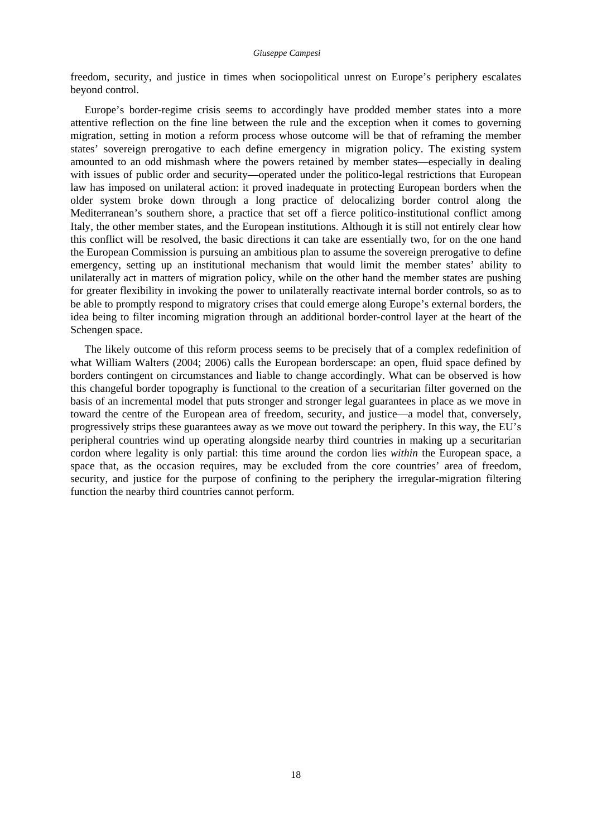freedom, security, and justice in times when sociopolitical unrest on Europe's periphery escalates beyond control.

Europe's border-regime crisis seems to accordingly have prodded member states into a more attentive reflection on the fine line between the rule and the exception when it comes to governing migration, setting in motion a reform process whose outcome will be that of reframing the member states' sovereign prerogative to each define emergency in migration policy. The existing system amounted to an odd mishmash where the powers retained by member states—especially in dealing with issues of public order and security—operated under the politico-legal restrictions that European law has imposed on unilateral action: it proved inadequate in protecting European borders when the older system broke down through a long practice of delocalizing border control along the Mediterranean's southern shore, a practice that set off a fierce politico-institutional conflict among Italy, the other member states, and the European institutions. Although it is still not entirely clear how this conflict will be resolved, the basic directions it can take are essentially two, for on the one hand the European Commission is pursuing an ambitious plan to assume the sovereign prerogative to define emergency, setting up an institutional mechanism that would limit the member states' ability to unilaterally act in matters of migration policy, while on the other hand the member states are pushing for greater flexibility in invoking the power to unilaterally reactivate internal border controls, so as to be able to promptly respond to migratory crises that could emerge along Europe's external borders, the idea being to filter incoming migration through an additional border-control layer at the heart of the Schengen space.

The likely outcome of this reform process seems to be precisely that of a complex redefinition of what William Walters (2004; 2006) calls the European borderscape: an open, fluid space defined by borders contingent on circumstances and liable to change accordingly. What can be observed is how this changeful border topography is functional to the creation of a securitarian filter governed on the basis of an incremental model that puts stronger and stronger legal guarantees in place as we move in toward the centre of the European area of freedom, security, and justice—a model that, conversely, progressively strips these guarantees away as we move out toward the periphery. In this way, the EU's peripheral countries wind up operating alongside nearby third countries in making up a securitarian cordon where legality is only partial: this time around the cordon lies *within* the European space, a space that, as the occasion requires, may be excluded from the core countries' area of freedom, security, and justice for the purpose of confining to the periphery the irregular-migration filtering function the nearby third countries cannot perform.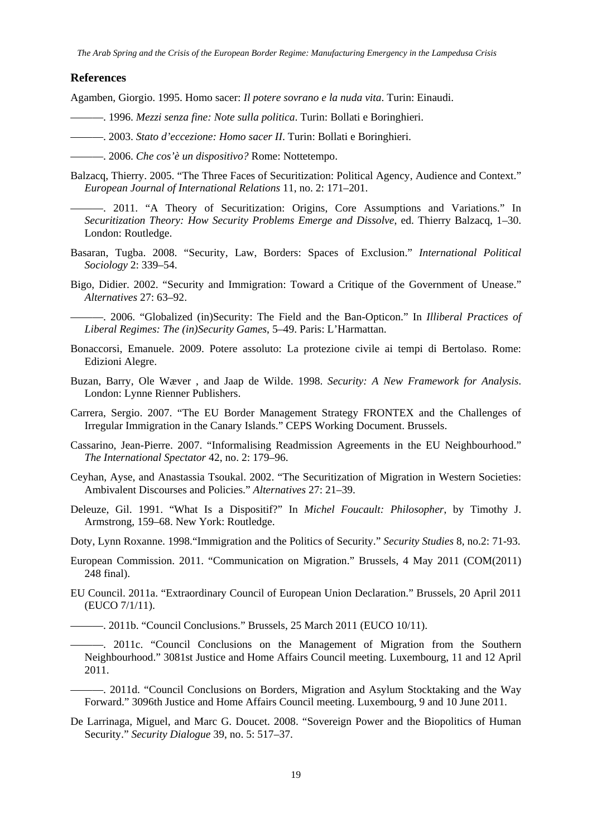#### **References**

Agamben, Giorgio. 1995. Homo sacer: *Il potere sovrano e la nuda vita*. Turin: Einaudi.

- ———. 1996. *Mezzi senza fine: Note sulla politica*. Turin: Bollati e Boringhieri.
- ———. 2003. *Stato d'eccezione: Homo sacer II*. Turin: Bollati e Boringhieri.
- ———. 2006. *Che cos'è un dispositivo?* Rome: Nottetempo.
- Balzacq, Thierry. 2005. "The Three Faces of Securitization: Political Agency, Audience and Context." *European Journal of International Relations* 11, no. 2: 171–201.
	- ———. 2011. "A Theory of Securitization: Origins, Core Assumptions and Variations." In *Securitization Theory: How Security Problems Emerge and Dissolve*, ed. Thierry Balzacq, 1–30. London: Routledge.
- Basaran, Tugba. 2008. "Security, Law, Borders: Spaces of Exclusion." *International Political Sociology* 2: 339–54.
- Bigo, Didier. 2002. "Security and Immigration: Toward a Critique of the Government of Unease." *Alternatives* 27: 63–92.
- ———. 2006. "Globalized (in)Security: The Field and the Ban-Opticon." In *Illiberal Practices of Liberal Regimes: The (in)Security Games*, 5–49. Paris: L'Harmattan.
- Bonaccorsi, Emanuele. 2009. Potere assoluto: La protezione civile ai tempi di Bertolaso. Rome: Edizioni Alegre.
- Buzan, Barry, Ole Wæver , and Jaap de Wilde. 1998. *Security: A New Framework for Analysis*. London: Lynne Rienner Publishers.
- Carrera, Sergio. 2007. "The EU Border Management Strategy FRONTEX and the Challenges of Irregular Immigration in the Canary Islands." CEPS Working Document. Brussels.
- Cassarino, Jean-Pierre. 2007. "Informalising Readmission Agreements in the EU Neighbourhood." *The International Spectator* 42, no. 2: 179–96.
- Ceyhan, Ayse, and Anastassia Tsoukal. 2002. "The Securitization of Migration in Western Societies: Ambivalent Discourses and Policies." *Alternatives* 27: 21–39.
- Deleuze, Gil. 1991. "What Is a Dispositif?" In *Michel Foucault: Philosopher*, by Timothy J. Armstrong, 159–68. New York: Routledge.
- Doty, Lynn Roxanne. 1998."Immigration and the Politics of Security." *Security Studies* 8, no.2: 71-93.
- European Commission. 2011. "Communication on Migration." Brussels, 4 May 2011 (COM(2011) 248 final).
- EU Council. 2011a. "Extraordinary Council of European Union Declaration." Brussels, 20 April 2011 (EUCO 7/1/11).
	- ———. 2011b. "Council Conclusions." Brussels, 25 March 2011 (EUCO 10/11).
	- ———. 2011c. "Council Conclusions on the Management of Migration from the Southern Neighbourhood." 3081st Justice and Home Affairs Council meeting. Luxembourg, 11 and 12 April 2011.
- ———. 2011d. "Council Conclusions on Borders, Migration and Asylum Stocktaking and the Way Forward." 3096th Justice and Home Affairs Council meeting. Luxembourg, 9 and 10 June 2011.
- De Larrinaga, Miguel, and Marc G. Doucet. 2008. "Sovereign Power and the Biopolitics of Human Security." *Security Dialogue* 39, no. 5: 517–37.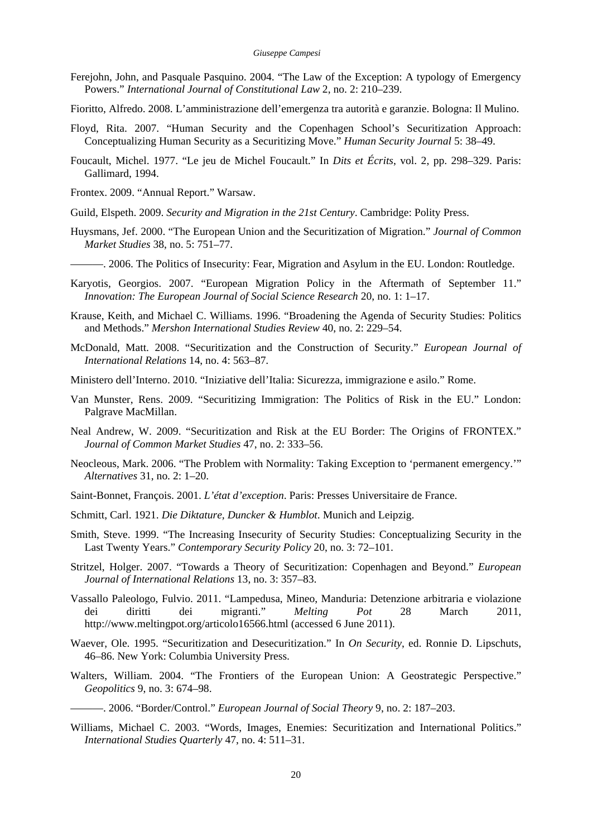- Ferejohn, John, and Pasquale Pasquino. 2004. "The Law of the Exception: A typology of Emergency Powers." *International Journal of Constitutional Law* 2, no. 2: 210–239.
- Fioritto, Alfredo. 2008. L'amministrazione dell'emergenza tra autorità e garanzie. Bologna: Il Mulino.
- Floyd, Rita. 2007. "Human Security and the Copenhagen School's Securitization Approach: Conceptualizing Human Security as a Securitizing Move." *Human Security Journal* 5: 38–49.
- Foucault, Michel. 1977. "Le jeu de Michel Foucault." In *Dits et Écrits*, vol. 2, pp. 298–329. Paris: Gallimard, 1994.
- Frontex. 2009. "Annual Report." Warsaw.
- Guild, Elspeth. 2009. *Security and Migration in the 21st Century*. Cambridge: Polity Press.
- Huysmans, Jef. 2000. "The European Union and the Securitization of Migration." *Journal of Common Market Studies* 38, no. 5: 751–77.
- ———. 2006. The Politics of Insecurity: Fear, Migration and Asylum in the EU. London: Routledge.
- Karyotis, Georgios. 2007. "European Migration Policy in the Aftermath of September 11." *Innovation: The European Journal of Social Science Research* 20, no. 1: 1–17.
- Krause, Keith, and Michael C. Williams. 1996. "Broadening the Agenda of Security Studies: Politics and Methods." *Mershon International Studies Review* 40, no. 2: 229–54.
- McDonald, Matt. 2008. "Securitization and the Construction of Security." *European Journal of International Relations* 14, no. 4: 563–87.
- Ministero dell'Interno. 2010. "Iniziative dell'Italia: Sicurezza, immigrazione e asilo." Rome.
- Van Munster, Rens. 2009. "Securitizing Immigration: The Politics of Risk in the EU." London: Palgrave MacMillan.
- Neal Andrew, W. 2009. "Securitization and Risk at the EU Border: The Origins of FRONTEX." *Journal of Common Market Studies* 47, no. 2: 333–56.
- Neocleous, Mark. 2006. "The Problem with Normality: Taking Exception to 'permanent emergency.'" *Alternatives* 31, no. 2: 1–20.
- Saint-Bonnet, François. 2001. *L'état d'exception*. Paris: Presses Universitaire de France.
- Schmitt, Carl. 1921. *Die Diktature, Duncker & Humblot*. Munich and Leipzig.
- Smith, Steve. 1999. "The Increasing Insecurity of Security Studies: Conceptualizing Security in the Last Twenty Years." *Contemporary Security Policy* 20, no. 3: 72–101.
- Stritzel, Holger. 2007. "Towards a Theory of Securitization: Copenhagen and Beyond." *European Journal of International Relations* 13, no. 3: 357–83.
- Vassallo Paleologo, Fulvio. 2011. "Lampedusa, Mineo, Manduria: Detenzione arbitraria e violazione dei diritti dei migranti." *Melting Pot* 28 March 2011, [http://www.meltingpot.org/articolo16566.html \(a](http://www.meltingpot.org/articolo16566.html)ccessed 6 June 2011).
- Waever, Ole. 1995. "Securitization and Desecuritization." In *On Security*, ed. Ronnie D. Lipschuts, 46–86. New York: Columbia University Press.
- Walters, William. 2004. "The Frontiers of the European Union: A Geostrategic Perspective." *Geopolitics* 9, no. 3: 674–98.
	- ———. 2006. "Border/Control." *European Journal of Social Theory* 9, no. 2: 187–203.
- Williams, Michael C. 2003. "Words, Images, Enemies: Securitization and International Politics." *International Studies Quarterly* 47, no. 4: 511–31.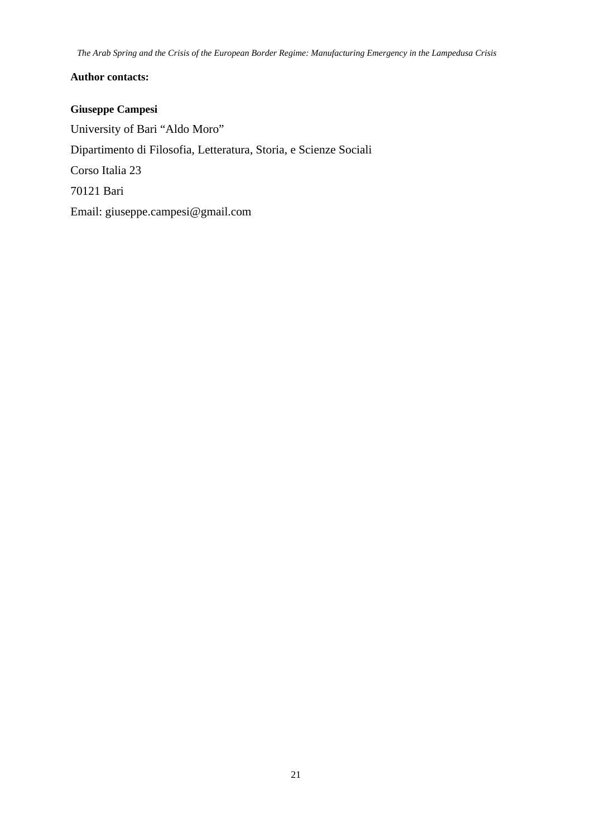# **Author contacts:**

# **Giuseppe Campesi**  University of Bari "Aldo Moro" Dipartimento di Filosofia, Letteratura, Storia, e Scienze Sociali Corso Italia 23 70121 Bari Email: [giuseppe.campesi@gmail.com](mailto:giuseppe.campesi@gmail.com)